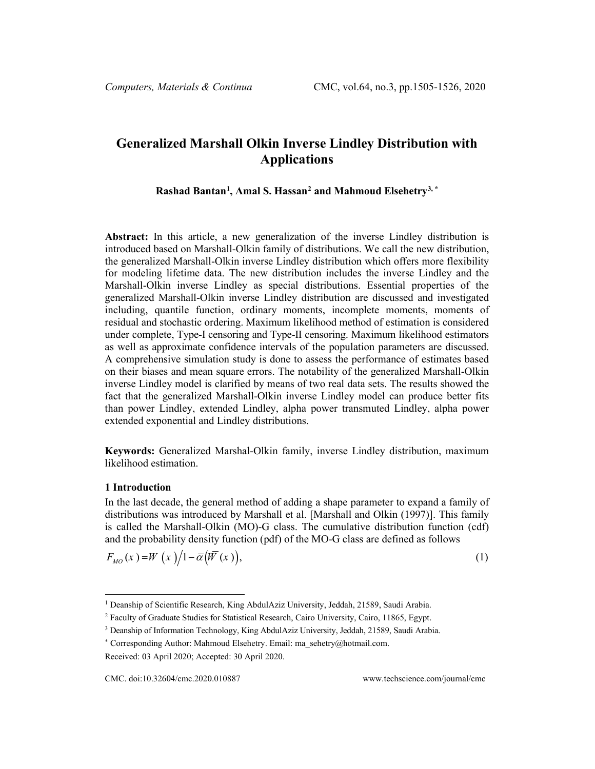# **Generalized Marshall Olkin Inverse Lindley Distribution with Applications**

**Rashad Bantan[1](#page-0-0) , Amal S. Hassan[2](#page-0-1) and Mahmoud Elsehetr[y3,](#page-0-2) \***

**Abstract:** In this article, a new generalization of the inverse Lindley distribution is introduced based on Marshall-Olkin family of distributions. We call the new distribution, the generalized Marshall-Olkin inverse Lindley distribution which offers more flexibility for modeling lifetime data. The new distribution includes the inverse Lindley and the Marshall-Olkin inverse Lindley as special distributions. Essential properties of the generalized Marshall-Olkin inverse Lindley distribution are discussed and investigated including, quantile function, ordinary moments, incomplete moments, moments of residual and stochastic ordering. Maximum likelihood method of estimation is considered under complete, Type-I censoring and Type-II censoring. Maximum likelihood estimators as well as approximate confidence intervals of the population parameters are discussed. A comprehensive simulation study is done to assess the performance of estimates based on their biases and mean square errors. The notability of the generalized Marshall-Olkin inverse Lindley model is clarified by means of two real data sets. The results showed the fact that the generalized Marshall-Olkin inverse Lindley model can produce better fits than power Lindley, extended Lindley, alpha power transmuted Lindley, alpha power extended exponential and Lindley distributions.

**Keywords:** Generalized Marshal-Olkin family, inverse Lindley distribution, maximum likelihood estimation.

#### **1 Introduction**

In the last decade, the general method of adding a shape parameter to expand a family of distributions was introduced by Marshall et al. [Marshall and Olkin (1997)]. This family is called the Marshall-Olkin (MO)-G class. The cumulative distribution function (cdf) and the probability density function (pdf) of the MO-G class are defined as follows

$$
F_{MO}(x) = W(x)/1 - \overline{\alpha}(W(x)),
$$
\n(1)

<span id="page-0-0"></span><sup>&</sup>lt;sup>1</sup> Deanship of Scientific Research, King AbdulAziz University, Jeddah, 21589, Saudi Arabia.

<span id="page-0-1"></span><sup>2</sup> Faculty of Graduate Studies for Statistical Research, Cairo University, Cairo, 11865, Egypt.

<span id="page-0-2"></span><sup>&</sup>lt;sup>3</sup> Deanship of Information Technology, King AbdulAziz University, Jeddah, 21589, Saudi Arabia.

<sup>\*</sup> Corresponding Author: Mahmoud Elsehetry. Email[: ma\\_sehetry@hotmail.com.](mailto:ma_sehetry@hotmail.com)

Received: 03 April 2020; Accepted: 30 April 2020.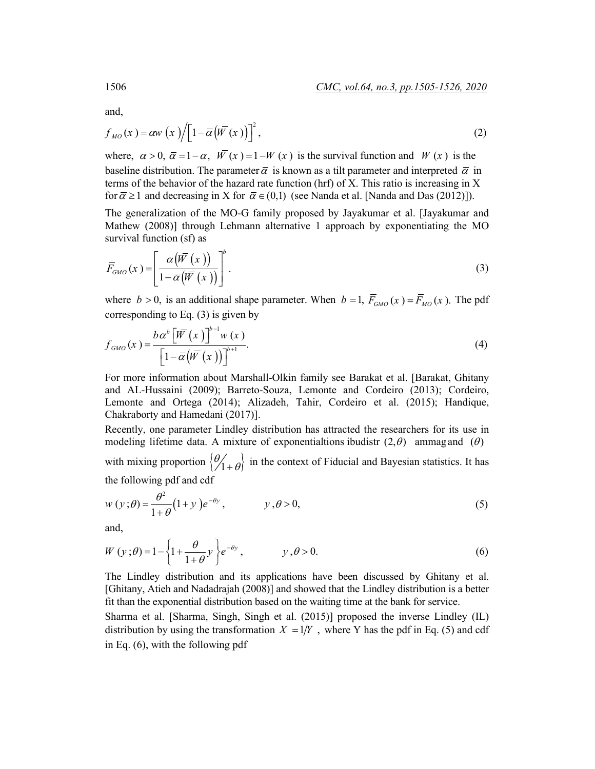and,

$$
f_{MO}(x) = \alpha w(x) / \left[1 - \overline{\alpha}(\overline{W}(x))\right]^2,
$$
\n(2)

where,  $\alpha > 0$ ,  $\overline{\alpha} = 1 - \alpha$ ,  $\overline{W}(x) = 1 - W(x)$  is the survival function and  $W(x)$  is the baseline distribution. The parameter  $\overline{\alpha}$  is known as a tilt parameter and interpreted  $\overline{\alpha}$  in terms of the behavior of the hazard rate function (hrf) of X. This ratio is increasing in X for  $\bar{\alpha} \ge 1$  and decreasing in X for  $\bar{\alpha} \in (0,1)$  (see Nanda et al. [Nanda and Das (2012)]).

The generalization of the MO-G family proposed by Jayakumar et al. [Jayakumar and Mathew (2008)] through Lehmann alternative 1 approach by exponentiating the MO survival function (sf) as

$$
\overline{F}_{GMO}(x) = \left[ \frac{\alpha \left( \overline{W}(x) \right)}{1 - \overline{\alpha} \left( \overline{W}(x) \right)} \right]^b.
$$
\n(3)

where  $b > 0$ , is an additional shape parameter. When  $b = 1$ ,  $\overline{F}_{GMO}(x) = \overline{F}_{MO}(x)$ . The pdf corresponding to Eq. (3) is given by

$$
f_{GMO}(x) = \frac{b \alpha^{b} \left[\overline{W}(x)\right]^{b-1} w(x)}{\left[1 - \overline{\alpha} \left(\overline{W}(x)\right)\right]^{b+1}}.
$$
\n(4)

For more information about Marshall-Olkin family see Barakat et al. [Barakat, Ghitany and AL-Hussaini (2009); Barreto-Souza, Lemonte and Cordeiro (2013); Cordeiro, Lemonte and Ortega (2014); Alizadeh, Tahir, Cordeiro et al. (2015); Handique, Chakraborty and Hamedani (2017)].

Recently, one parameter Lindley distribution has attracted the researchers for its use in modeling lifetime data. A mixture of exponentialtions ibudistr  $(2, \theta)$  ammagand  $(\theta)$ with mixing proportion  $\{ \theta'_{1+} \theta \}$  in the context of Fiducial and Bayesian statistics. It has

the following pdf and cdf

$$
w(y;\theta) = \frac{\theta^2}{1+\theta}(1+y)e^{-\theta y}, \qquad y,\theta > 0,
$$
\n(5)

and,

$$
W(y;\theta) = 1 - \left\{1 + \frac{\theta}{1+\theta}y\right\}e^{-\theta y}, \qquad y, \theta > 0.
$$
 (6)

The Lindley distribution and its applications have been discussed by Ghitany et al. [Ghitany, Atieh and Nadadrajah (2008)] and showed that the Lindley distribution is a better fit than the exponential distribution based on the waiting time at the bank for service.

Sharma et al. [Sharma, Singh, Singh et al. (2015)] proposed the inverse Lindley (IL) distribution by using the transformation  $X = 1/Y$ , where Y has the pdf in Eq. (5) and cdf in Eq. (6), with the following pdf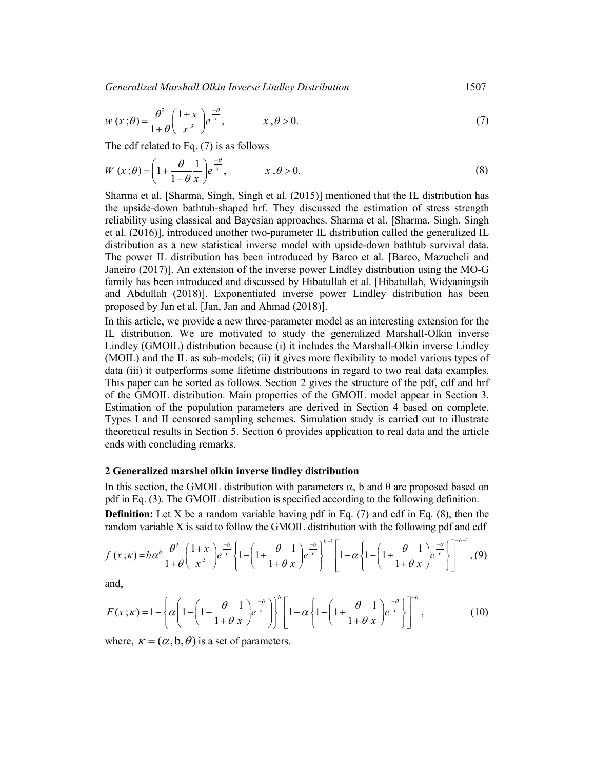*Generalized Marshall Olkin Inverse Lindley Distribution*1507

$$
w(x; \theta) = \frac{\theta^2}{1+\theta} \left(\frac{1+x}{x^3}\right) e^{\frac{-\theta}{x}}, \qquad x, \theta > 0.
$$
 (7)

The cdf related to Eq. (7) is as follows

$$
W(x;\theta) = \left(1 + \frac{\theta}{1+\theta} \frac{1}{x}\right) e^{-\frac{\theta}{x}}, \qquad x, \theta > 0.
$$
 (8)

Sharma et al. [Sharma, Singh, Singh et al. (2015)] mentioned that the IL distribution has the upside-down bathtub-shaped hrf. They discussed the estimation of stress strength reliability using classical and Bayesian approaches. Sharma et al. [Sharma, Singh, Singh et al. (2016)], introduced another two-parameter IL distribution called the generalized IL distribution as a new statistical inverse model with upside-down bathtub survival data. The power IL distribution has been introduced by Barco et al. [Barco, Mazucheli and Janeiro (2017)]. An extension of the inverse power Lindley distribution using the MO-G family has been introduced and discussed by Hibatullah et al. [Hibatullah, Widyaningsih and Abdullah (2018)]. Exponentiated inverse power Lindley distribution has been proposed by Jan et al. [Jan, Jan and Ahmad (2018)].

In this article, we provide a new three-parameter model as an interesting extension for the IL distribution. We are motivated to study the generalized Marshall-Olkin inverse Lindley (GMOIL) distribution because (i) it includes the Marshall-Olkin inverse Lindley (MOIL) and the IL as sub-models; (ii) it gives more flexibility to model various types of data (iii) it outperforms some lifetime distributions in regard to two real data examples. This paper can be sorted as follows. Section 2 gives the structure of the pdf, cdf and hrf of the GMOIL distribution. Main properties of the GMOIL model appear in Section 3. Estimation of the population parameters are derived in Section 4 based on complete, Types I and II censored sampling schemes. Simulation study is carried out to illustrate theoretical results in Section 5. Section 6 provides application to real data and the article ends with concluding remarks.

#### **2 Generalized marshel olkin inverse lindley distribution**

In this section, the GMOIL distribution with parameters  $\alpha$ , b and  $\theta$  are proposed based on pdf in Eq. (3). The GMOIL distribution is specified according to the following definition.

**Definition:** Let X be a random variable having pdf in Eq. (7) and cdf in Eq. (8), then the random variable X is said to follow the GMOIL distribution with the following pdf and cdf

$$
f(x;k) = b\alpha^{b} \frac{\theta^{2}}{1+\theta} \left(\frac{1+x}{x^{3}}\right) e^{\frac{-\theta}{x}} \left\{ 1 - \left(1 + \frac{\theta}{1+\theta} \frac{1}{x}\right) e^{\frac{-\theta}{x}} \right\}^{b-1} \left[ 1 - \overline{\alpha} \left\{ 1 - \left(1 + \frac{\theta}{1+\theta} \frac{1}{x}\right) e^{\frac{-\theta}{x}} \right\} \right]^{-b-1}, \quad (9)
$$

and,

$$
F(x; \kappa) = 1 - \left\{ \alpha \left( 1 - \left( 1 + \frac{\theta}{1 + \theta} \frac{1}{x} \right) e^{-\frac{\theta}{x}} \right) \right\}^{b} \left[ 1 - \overline{\alpha} \left\{ 1 - \left( 1 + \frac{\theta}{1 + \theta} \frac{1}{x} \right) e^{-\frac{\theta}{x}} \right\} \right]^{-b},
$$
(10)

where,  $\kappa = (\alpha, b, \theta)$  is a set of parameters.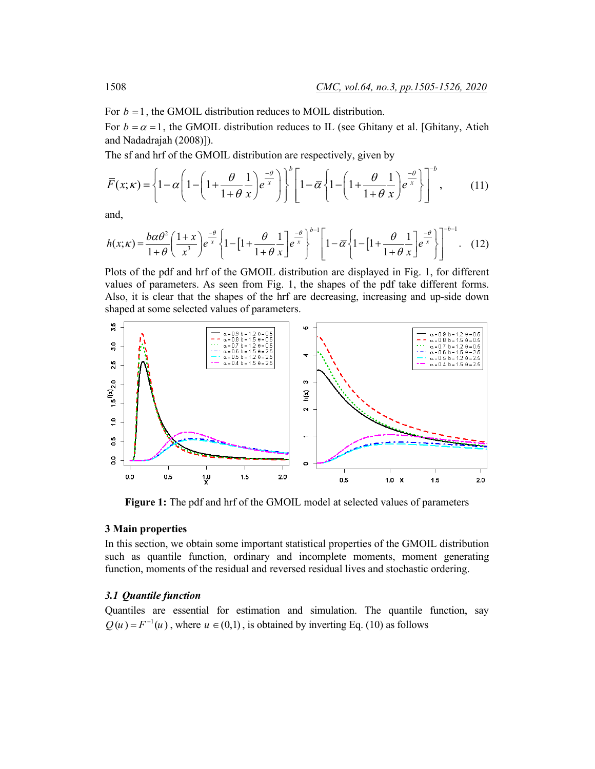For  $b = 1$ , the GMOIL distribution reduces to MOIL distribution.

For  $b = \alpha = 1$ , the GMOIL distribution reduces to IL (see Ghitany et al. [Ghitany, Atieh] and Nadadrajah (2008)]).

The sf and hrf of the GMOIL distribution are respectively, given by

$$
\overline{F}(x;\kappa) = \left\{1 - \alpha \left(1 - \left(1 + \frac{\theta}{1 + \theta} \frac{1}{x}\right) e^{\frac{-\theta}{x}}\right)\right\}^{b} \left[1 - \overline{\alpha} \left\{1 - \left(1 + \frac{\theta}{1 + \theta} \frac{1}{x}\right) e^{\frac{-\theta}{x}}\right\}\right]^{-b},\tag{11}
$$

and,

$$
h(x;\kappa) = \frac{b\alpha\theta^2}{1+\theta} \left(\frac{1+x}{x^3}\right) e^{-\frac{\theta}{x}} \left\{ 1 - \left[1 + \frac{\theta}{1+\theta} \frac{1}{x}\right] e^{-\frac{\theta}{x}} \right\}^{b-1} \left[1 - \overline{\alpha} \left\{1 - \left[1 + \frac{\theta}{1+\theta} \frac{1}{x}\right] e^{-\frac{\theta}{x}} \right\} \right]^{-b-1} . \quad (12)
$$

Plots of the pdf and hrf of the GMOIL distribution are displayed in Fig. 1, for different values of parameters. As seen from Fig. 1, the shapes of the pdf take different forms. Also, it is clear that the shapes of the hrf are decreasing, increasing and up-side down shaped at some selected values of parameters.



**Figure 1:** The pdf and hrf of the GMOIL model at selected values of parameters

# **3 Main properties**

In this section, we obtain some important statistical properties of the GMOIL distribution such as quantile function, ordinary and incomplete moments, moment generating function, moments of the residual and reversed residual lives and stochastic ordering.

#### *3.1 Quantile function*

Quantiles are essential for estimation and simulation. The quantile function, say  $Q(u) = F^{-1}(u)$ , where  $u \in (0,1)$ , is obtained by inverting Eq. (10) as follows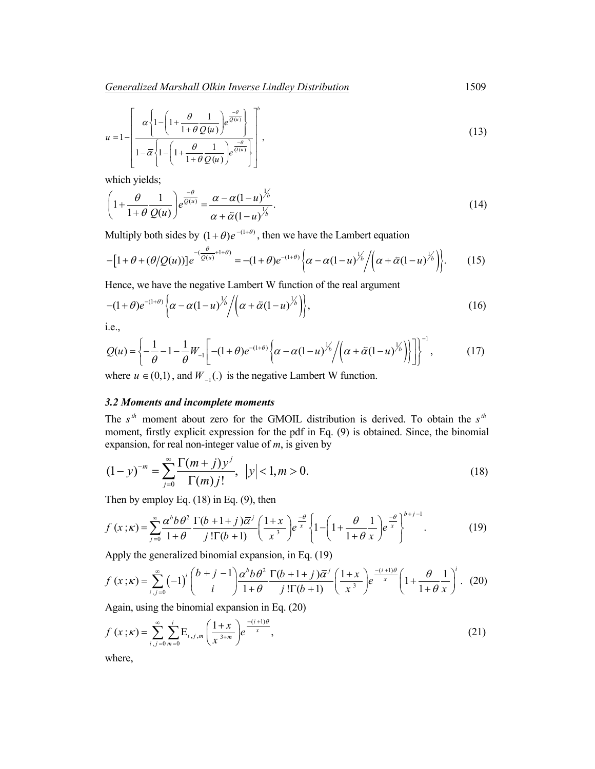$$
u = 1 - \left[ \frac{\alpha \left\{ 1 - \left( 1 + \frac{\theta}{1 + \theta} \frac{1}{Q(u)} \right) e^{\frac{-\theta}{Q(u)}} \right\}}{1 - \overline{\alpha} \left\{ 1 - \left( 1 + \frac{\theta}{1 + \theta} \frac{1}{Q(u)} \right) e^{\frac{-\theta}{Q(u)}} \right\}} \right],
$$
\n(13)

which yields;

$$
\left(1+\frac{\theta}{1+\theta}\frac{1}{Q(u)}\right)e^{\frac{-\theta}{Q(u)}} = \frac{\alpha-\alpha(1-u)^{\frac{1}{\beta}}}{\alpha+\bar{\alpha}(1-u)^{\frac{1}{\beta}}}.
$$
\n(14)

Multiply both sides by  $(1 + \theta)e^{-(1+\theta)}$ , then we have the Lambert equation

$$
-[1+\theta+(\theta/Q(u))]e^{-\left(\frac{\theta}{Q(u)}+1+\theta\right)}=-(1+\theta)e^{-(1+\theta)}\left\{\alpha-\alpha(1-u)^{1/2}/\left(\alpha+\bar{\alpha}(1-u)^{1/2}\right)\right\}.
$$
 (15)

Hence, we have the negative Lambert W function of the real argument

$$
-(1+\theta)e^{-(1+\theta)}\left\{\alpha-\alpha(1-u)^{1/6}\middle/(\alpha+\bar{\alpha}(1-u)^{1/6})\right\},\tag{16}
$$

i.e.,

$$
Q(u) = \left\{-\frac{1}{\theta} - 1 - \frac{1}{\theta}W_{-1}\left[ -(1+\theta)e^{-(1+\theta)} \left\{\alpha - \alpha(1-u)^{1/2}/\left(\alpha + \bar{\alpha}(1-u)^{1/2}\right)\right\}\right] \right\}^{-1},\tag{17}
$$

where  $u \in (0,1)$ , and  $W_{-1}$ .) is the negative Lambert W function.

### *3.2 Moments and incomplete moments*

The  $s<sup>th</sup>$  moment about zero for the GMOIL distribution is derived. To obtain the  $s<sup>th</sup>$ moment, firstly explicit expression for the pdf in Eq. (9) is obtained. Since, the binomial expansion, for real non-integer value of *m*, is given by

$$
(1-y)^{-m} = \sum_{j=0}^{\infty} \frac{\Gamma(m+j)y^j}{\Gamma(m)j!}, \ |y| < 1, m > 0.
$$
 (18)

Then by employ Eq. (18) in Eq. (9), then

$$
f(x; \kappa) = \sum_{j=0}^{\infty} \frac{\alpha^b b \theta^2}{1+\theta} \frac{\Gamma(b+1+j)\overline{\alpha}^j}{j! \Gamma(b+1)} \left(\frac{1+x}{x^3}\right) e^{\frac{-\theta}{x}} \left\{1 - \left(1 + \frac{\theta}{1+\theta} \frac{1}{x}\right) e^{\frac{-\theta}{x}}\right\}^{b+j-1}.
$$
 (19)

Apply the generalized binomial expansion, in Eq. (19)

$$
f(x; \kappa) = \sum_{i,j=0}^{\infty} (-1)^i \binom{b+j-1}{i} \frac{\alpha^b b \theta^2}{1+\theta} \frac{\Gamma(b+1+j)\overline{\alpha}^j}{j!\Gamma(b+1)} \left(\frac{1+x}{x^3}\right) e^{\frac{-(i+1)\theta}{x}} \left(1+\frac{\theta}{1+\theta} \frac{1}{x}\right)^i. (20)
$$

Again, using the binomial expansion in Eq. (20)

$$
f(x; \kappa) = \sum_{i,j=0}^{\infty} \sum_{m=0}^{i} E_{i,j,m} \left( \frac{1+x}{x^{3+m}} \right) e^{-\frac{(i+1)\theta}{x}},
$$
\n(21)

where,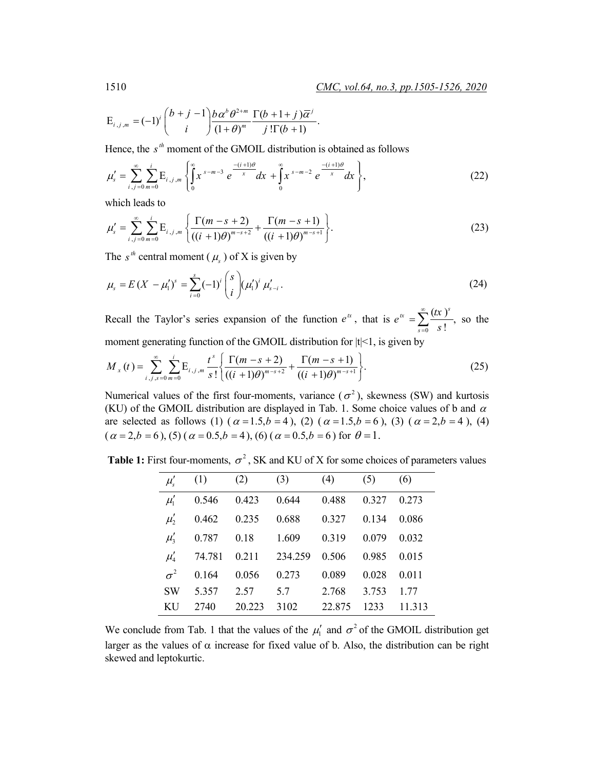$$
\mathrm{E}_{i,j,m}=(-1)^i\binom{b+j-1}{i}\frac{b\,\alpha^b\,\theta^{2+m}}{(1+\theta)^m}\frac{\Gamma(b+1+j)\,\overline{\alpha}^j}{j!\,\Gamma(b+1)}.
$$

Hence, the  $s<sup>th</sup>$  moment of the GMOIL distribution is obtained as follows

$$
\mu'_{s} = \sum_{i,j=0}^{\infty} \sum_{m=0}^{i} E_{i,j,m} \left\{ \int_{0}^{\infty} x^{s-m-3} e^{\frac{-(i+1)\theta}{x}} dx + \int_{0}^{\infty} x^{s-m-2} e^{\frac{-(i+1)\theta}{x}} dx \right\},
$$
(22)

which leads to

$$
\mu'_{s} = \sum_{i,j=0}^{\infty} \sum_{m=0}^{i} \mathcal{E}_{i,j,m} \left\{ \frac{\Gamma(m-s+2)}{((i+1)\theta)^{m-s+2}} + \frac{\Gamma(m-s+1)}{((i+1)\theta)^{m-s+1}} \right\}.
$$
\n(23)

The  $s^{th}$  central moment ( $\mu_s$ ) of X is given by

$$
\mu_{s} = E(X - \mu_{1}')^{s} = \sum_{i=0}^{s} (-1)^{i} {s \choose i} (\mu_{1}')^{i} \mu_{s-i}'.
$$
\n(24)

Recall the Taylor's series expansion of the function  $e^{tx}$ , that is  $e^{tx} = \sum_{s=0}^{\infty} \frac{(tx)^s}{s!}$ , *s*  $e^{tx} = \sum_{n=1}^{\infty} \frac{f(x)}{n}$ *s* ∞  $=\sum_{s=0}^{\infty} \frac{(kx)^s}{s!}$ , so the moment generating function of the GMOIL distribution for  $|t|$ <1, is given by

$$
M_{x}(t) = \sum_{i,j,s=0}^{\infty} \sum_{m=0}^{i} E_{i,j,m} \frac{t^{s}}{s!} \left\{ \frac{\Gamma(m-s+2)}{((i+1)\theta)^{m-s+2}} + \frac{\Gamma(m-s+1)}{((i+1)\theta)^{m-s+1}} \right\}.
$$
 (25)

Numerical values of the first four-moments, variance ( $\sigma^2$ ), skewness (SW) and kurtosis (KU) of the GMOIL distribution are displayed in Tab. 1. Some choice values of b and  $\alpha$ are selected as follows (1)  $(\alpha = 1.5, b = 4)$ , (2)  $(\alpha = 1.5, b = 6)$ , (3)  $(\alpha = 2, b = 4)$ , (4)  $(\alpha = 2, b = 6)$ , (5)  $(\alpha = 0.5, b = 4)$ , (6)  $(\alpha = 0.5, b = 6)$  for  $\theta = 1$ .

**Table 1:** First four-moments,  $\sigma^2$ , SK and KU of X for some choices of parameters values

| $\mu'_s$   | (1)    | (2)    | (3)     | (4)    | (5)   | (6)    |
|------------|--------|--------|---------|--------|-------|--------|
| $\mu'_1$   | 0.546  | 0.423  | 0.644   | 0.488  | 0.327 | 0.273  |
| $\mu'_2$   | 0.462  | 0.235  | 0.688   | 0.327  | 0.134 | 0.086  |
| $\mu'_3$   | 0.787  | 0.18   | 1.609   | 0.319  | 0.079 | 0.032  |
| $\mu'_4$   | 74.781 | 0.211  | 234.259 | 0.506  | 0.985 | 0.015  |
| $\sigma^2$ | 0.164  | 0.056  | 0.273   | 0.089  | 0.028 | 0.011  |
| <b>SW</b>  | 5.357  | 2.57   | 5.7     | 2.768  | 3.753 | 1.77   |
| <b>KU</b>  | 2740   | 20.223 | 3102    | 22.875 | 1233  | 11.313 |

We conclude from Tab. 1 that the values of the  $\mu'_1$  and  $\sigma^2$  of the GMOIL distribution get larger as the values of  $\alpha$  increase for fixed value of b. Also, the distribution can be right skewed and leptokurtic.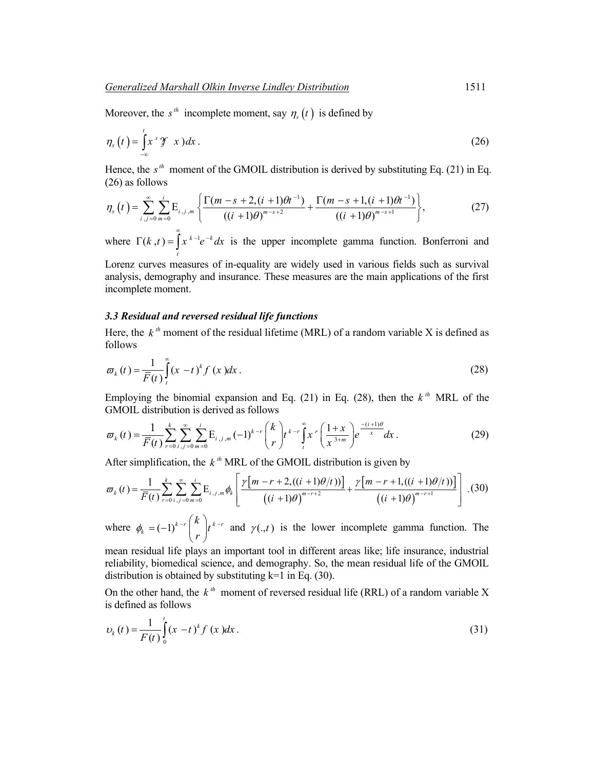Moreover, the  $s^h$  incomplete moment, say  $\eta_s(t)$  is defined by

$$
\eta_s\left(t\right) = \int_{-\infty}^t x^s \mathcal{F}(x) \, dx \,. \tag{26}
$$

Hence, the  $s<sup>th</sup>$  moment of the GMOIL distribution is derived by substituting Eq. (21) in Eq. (26) as follows

$$
\eta_s\left(t\right) = \sum_{i,j=0}^{\infty} \sum_{m=0}^{i} \mathcal{E}_{i,j,m} \left\{ \frac{\Gamma(m-s+2,(i+1)\theta t^{-1})}{\left((i+1)\theta\right)^{m-s+2}} + \frac{\Gamma(m-s+1,(i+1)\theta t^{-1})}{\left((i+1)\theta\right)^{m-s+1}} \right\},\tag{27}
$$

where  $\Gamma(k, t) = \int x^{k-1} e^{-k} dx$ *t*  $\Gamma(k, t) = \int_0^{\infty} x^{k-1} e^{-k} dx$  is the upper incomplete gamma function. Bonferroni and

Lorenz curves measures of in-equality are widely used in various fields such as survival analysis, demography and insurance. These measures are the main applications of the first incomplete moment.

#### *3.3 Residual and reversed residual life functions*

Here, the  $k^{th}$  moment of the residual lifetime (MRL) of a random variable X is defined as follows

$$
\varpi_{k}(t) = \frac{1}{\overline{F}(t)} \int_{t}^{\infty} (x - t)^{k} f(x) dx.
$$
\n(28)

Employing the binomial expansion and Eq. (21) in Eq. (28), then the  $k^{th}$  MRL of the GMOIL distribution is derived as follows

$$
\varpi_{k}(t) = \frac{1}{\overline{F}(t)} \sum_{r=0}^{k} \sum_{i,j=0}^{\infty} \sum_{m=0}^{i} \mathbf{E}_{i,j,m}(-1)^{k-r} {k \choose r} t^{k-r} \int_{t}^{\infty} x^{r} \left(\frac{1+x}{x^{3+m}}\right) e^{\frac{-(i+1)\theta}{x}} dx.
$$
 (29)

After simplification, the  $k^{th}$  MRL of the GMOIL distribution is given by

$$
\varpi_{k}(t) = \frac{1}{\overline{F}(t)} \sum_{r=0}^{k} \sum_{i,j=0}^{\infty} \sum_{m=0}^{i} \mathbf{E}_{i,j,m} \phi_{k} \left[ \frac{\gamma[m-r+2,((i+1)\theta/t))]}{((i+1)\theta)^{m-r+2}} + \frac{\gamma[m-r+1,((i+1)\theta/t))]}{((i+1)\theta)^{m-r+1}} \right] \tag{30}
$$

where  $\phi_k = (-1)^{k-r} \left| \int_0^{\infty} |t^{k-r}| \right|$ *k t*  $\phi_k = (-1)^{k-r} {k \choose r} t^{k-r}$  and  $\gamma(., t)$  is the lower incomplete gamma function. The

mean residual life plays an important tool in different areas like; life insurance, industrial reliability, biomedical science, and demography. So, the mean residual life of the GMOIL distribution is obtained by substituting  $k=1$  in Eq. (30).

On the other hand, the  $k^{th}$  moment of reversed residual life (RRL) of a random variable X is defined as follows

$$
v_k(t) = \frac{1}{F(t)} \int_0^t (x - t)^k f(x) dx.
$$
 (31)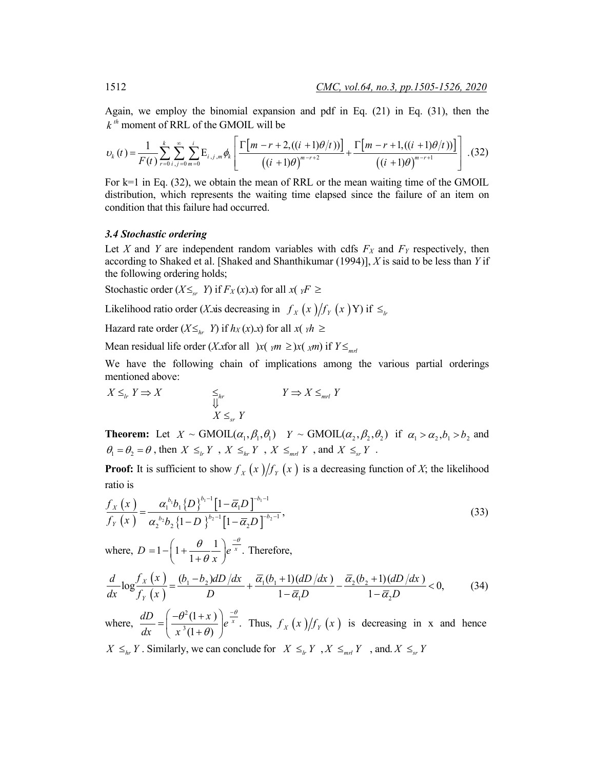Again, we employ the binomial expansion and pdf in Eq. (21) in Eq. (31), then the  $k^{th}$  moment of RRL of the GMOIL will be

$$
v_k(t) = \frac{1}{F(t)} \sum_{r=0}^k \sum_{i,j=0}^\infty \sum_{m=0}^i E_{i,j,m} \phi_k \left[ \frac{\Gamma\left[m-r+2,((i+1)\theta/t)\right]}{((i+1)\theta)^{m-r+2}} + \frac{\Gamma\left[m-r+1,((i+1)\theta/t)\right]}{((i+1)\theta)^{m-r+1}} \right].
$$
 (32)

For  $k=1$  in Eq. (32), we obtain the mean of RRL or the mean waiting time of the GMOIL distribution, which represents the waiting time elapsed since the failure of an item on condition that this failure had occurred.

#### *3.4 Stochastic ordering*

Let *X* and *Y* are independent random variables with cdfs  $F_X$  and  $F_Y$  respectively, then according to Shaked et al. [Shaked and Shanthikumar (1994)], *X* is said to be less than *Y* if the following ordering holds;

Stochastic order  $(X \leq r$  *Y*) if  $F_X(x)$ .*x*) for all  $x(y) \leq r$ 

Likelihood ratio order (*X*.*x*is decreasing in  $f_x(x)/f_y(x)$  if  $\leq$ 

Hazard rate order  $(X \leq_{hr} Y)$  if  $h_X(x).x$  for all  $x(yh \geq$ 

Mean residual life order (*X*.*x*for all  $\int x(y) dx \geq x(\int x)$  if  $Y \leq_{m \neq j}$ 

We have the following chain of implications among the various partial orderings mentioned above:

$$
X \leq_{lr} Y \Rightarrow X \qquad \qquad \underset{\bigcup}{\leq_{hr}} \qquad \qquad Y \Rightarrow X \leq_{mrl} Y
$$
  

$$
X \leq_{sr} Y
$$

**Theorem:** Let  $X \sim \text{GMOIL}(\alpha_1, \beta_1, \theta_1)$   $Y \sim \text{GMOIL}(\alpha_2, \beta_2, \theta_2)$  if  $\alpha_1 > \alpha_2, b_1 > b_2$  and  $\theta_1 = \theta_2 = \theta$ , then  $X \leq_{lr} Y$ ,  $X \leq_{hr} Y$ ,  $X \leq_{ml} Y$ , and  $X \leq_{sr} Y$ .

**Proof:** It is sufficient to show  $f_X(x)/f_Y(x)$  is a decreasing function of *X*; the likelihood ratio is

$$
\frac{f_{X}\left(x\right)}{f_{Y}\left(x\right)} = \frac{\alpha_{1}^{b_{1}}b_{1}\left\{D\right\}^{b_{1}-1}\left[1-\overline{\alpha}_{1}D\right]^{-b_{1}-1}}{\alpha_{2}^{b_{2}}b_{2}\left\{1-D\right\}^{b_{2}-1}\left[1-\overline{\alpha}_{2}D\right]^{-b_{2}-1}},\tag{33}
$$

where,  $D = 1 - \left(1 + \frac{\theta}{\theta} - \frac{1}{\theta}\right)e^{-\frac{\theta}{x}}$ . 1  $D = 1 - |1 + \frac{6}{1} - e^{x}$ *x*  $\theta$  1  $\frac{-\theta}{2}$  $=1 - \left(1 + \frac{\theta}{1 + \theta} \frac{1}{x}\right) e^{-\frac{1}{x}}$ Therefore,

$$
\frac{d}{dx}\log\frac{f_X(x)}{f_Y(x)} = \frac{(b_1 - b_2)dD/dx}{D} + \frac{\overline{\alpha_1}(b_1 + 1)(dD/dx)}{1 - \overline{\alpha_1}D} - \frac{\overline{\alpha_2}(b_2 + 1)(dD/dx)}{1 - \overline{\alpha_2}D} < 0,
$$
\n(34)

where, 2  $\frac{dD}{dx} = \left(\frac{-\theta^2(1+x)}{x^3(1+\theta)}\right)e^{\frac{-\theta}{x}}.$ *dx x*  $\theta^2(1+x)$   $\frac{-\theta}{2}$  $=\left(\frac{-\theta^2(1+x)}{x^3(1+\theta)}\right)e^{-\frac{1}{x}}$ Thus,  $f_X(x)/f_Y(x)$  is decreasing in x and hence  $X \leq_{hr} Y$ . Similarly, we can conclude for  $X \leq_{hr} Y$ ,  $X \leq_{mr} Y$ , and.  $X \leq_{sr} Y$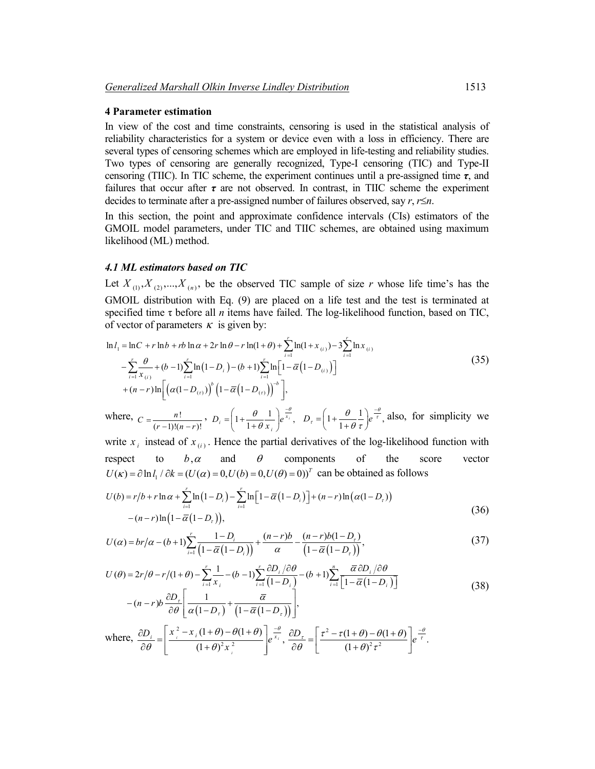#### **4 Parameter estimation**

In view of the cost and time constraints, censoring is used in the statistical analysis of reliability characteristics for a system or device even with a loss in efficiency. There are several types of censoring schemes which are employed in life-testing and reliability studies. Two types of censoring are generally recognized, Type-I censoring (TIC) and Type-II censoring (TIIC). In TIC scheme, the experiment continues until a pre-assigned time *τ*, and failures that occur after  $\tau$  are not observed. In contrast, in TIIC scheme the experiment decides to terminate after a pre-assigned number of failures observed, say *r*, *r*≤*n*.

In this section, the point and approximate confidence intervals (CIs) estimators of the GMOIL model parameters, under TIC and TIIC schemes, are obtained using maximum likelihood (ML) method.

#### *4.1 ML estimators based on TIC*

Let  $X_{(1)}, X_{(2)},..., X_{(n)}$ , be the observed TIC sample of size *r* whose life time's has the GMOIL distribution with Eq. (9) are placed on a life test and the test is terminated at specified time τ before all *n* items have failed. The log-likelihood function, based on TIC, of vector of parameters  $\kappa$  is given by:

$$
\ln l_{1} = \ln C + r \ln b + rb \ln \alpha + 2r \ln \theta - r \ln(1 + \theta) + \sum_{i=1}^{r} \ln(1 + x_{(i)}) - 3 \sum_{i=1}^{r} \ln x_{(i)}
$$
  

$$
- \sum_{i=1}^{r} \frac{\theta}{x_{(i)}} + (b-1) \sum_{i=1}^{r} \ln(1 - D_{i}) - (b+1) \sum_{i=1}^{r} \ln \left[ 1 - \overline{\alpha} (1 - D_{(i)}) \right]
$$
  

$$
+ (n-r) \ln \left[ \left( \alpha (1 - D_{(r)}) \right)^{b} \left( 1 - \overline{\alpha} (1 - D_{(r)}) \right)^{-b} \right],
$$
 (35)

where,  $C = \frac{n!}{n!}$  $C = \frac{n!}{(r-1)!(n-r)!}, \quad D_i = \left(1 + \frac{\theta}{1+\theta} \frac{1}{x_i}\right) e^{\frac{v}{x_i}},$  $\theta$  1  $\frac{-\theta}{r}$ θ  $\left(\begin{array}{cc} \theta & 1 \end{array}\right) =$  $=\left(1+\frac{\theta}{1+\theta}\frac{1}{x_i}\right)e^{\frac{-\theta}{x_i}}, \quad D_\tau=\left(1+\frac{\theta}{1+\theta}\frac{1}{\tau}\right)e^{\frac{-\theta}{\tau}},$ θ  $=\left(1+\frac{\theta}{1+\theta}\frac{1}{\tau}\right)e^{\frac{-\theta}{\tau}}$ , also, for simplicity we

write  $x_i$  instead of  $x_{(i)}$ . Hence the partial derivatives of the log-likelihood function with respect to  $b, \alpha$  and  $\theta$  components of the score vector  $U(\kappa) = \partial \ln l$ ,  $/\partial k = (U(\alpha) = 0, U(b) = 0, U(\theta) = 0)^T$  can be obtained as follows

$$
U(b) = r/b + r \ln \alpha + \sum_{i=1}^{r} \ln(1 - D_i) - \sum_{i=1}^{r} \ln[1 - \overline{\alpha}(1 - D_i)] + (n - r) \ln(\alpha(1 - D_r))
$$
  
-(n - r) ln(1 - \overline{\alpha}(1 - D\_r)), (36)

$$
U(\alpha) = br/\alpha - (b+1) \sum_{i=1}^{r} \frac{1 - D_i}{\left(1 - \overline{\alpha}(1 - D_i)\right)} + \frac{(n-r)b}{\alpha} - \frac{(n-r)b(1 - D_r)}{\left(1 - \overline{\alpha}(1 - D_r)\right)},
$$
\n(37)

$$
U(\theta) = 2r/\theta - r/(1+\theta) - \sum_{i=1}^{r} \frac{1}{x_i} - (b-1) \sum_{i=1}^{r} \frac{\partial D_i/\partial \theta}{(1-D_i)} - (b+1) \sum_{i=1}^{n} \frac{\overline{\alpha} \partial D_i/\partial \theta}{\left[1-\overline{\alpha}(1-D_i)\right]}
$$
  

$$
-(n-r)b \frac{\partial D_r}{\partial \theta} \left[ \frac{1}{\alpha(1-D_r)} + \frac{\overline{\alpha}}{(1-\overline{\alpha}(1-D_r))} \right],
$$
(38)

where,  $\frac{\partial D_i}{\partial \theta} = \left| \frac{x_i^2 - x_i (1 + \theta) - \theta (1 + \theta)}{(1 + \theta)^2 x_i^2} \right| e^{\frac{-\theta}{x_i}},$ *i i i*  $\frac{D_i}{\partial \theta} = \left| \frac{x_i^2 - x_i(1+\theta) - \theta(1+\theta)}{(1+\theta)^2 x_i^2} \right| e^{\frac{1}{x}}$  $\theta$ ) –  $\theta$ (1+ $\theta$ )  $\vert \frac{-\theta}{\vert}$  $\theta$  |  $(1+\theta$  $\frac{\partial D_i}{\partial \theta} = \left[ \frac{x_i^2 - x_i (1 + \theta) - \theta (1 + \theta)}{(1 + \theta)^2 x_i^2} \right] e^{\frac{-\theta}{x_i}}, \frac{\partial D_{\tau}}{\partial \theta} = \left[ \frac{\tau^2}{2} \right]$  $rac{D_{\tau}}{\partial \theta} = \frac{\tau^2 - \tau(1+\theta) - \theta(1+\theta)}{(1+\theta)^2 \tau^2} e^{-\frac{\theta}{\tau}}.$  $\frac{\partial D_{\tau}}{\partial \theta} = \left[ \frac{\tau^2 - \tau (1 + \theta) - \theta (1 + \theta)}{(1 + \theta)^2 \tau^2} \right] e^{-\frac{1}{\tau}}$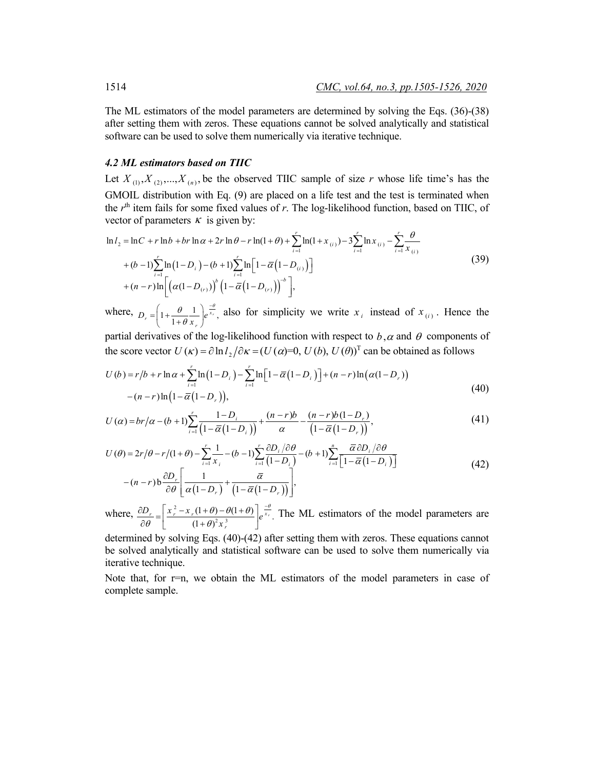The ML estimators of the model parameters are determined by solving the Eqs. (36)-(38) after setting them with zeros. These equations cannot be solved analytically and statistical software can be used to solve them numerically via iterative technique.

#### *4.2 ML estimators based on TIIC*

Let  $X_{(1)}, X_{(2)},..., X_{(n)}$ , be the observed TIIC sample of size r whose life time's has the GMOIL distribution with Eq. (9) are placed on a life test and the test is terminated when the *r*th item fails for some fixed values of *r*. The log-likelihood function, based on TIIC, of vector of parameters  $\kappa$  is given by:

$$
\ln l_2 = \ln C + r \ln b + br \ln \alpha + 2r \ln \theta - r \ln(1 + \theta) + \sum_{i=1}^r \ln(1 + x_{(i)}) - 3 \sum_{i=1}^r \ln x_{(i)} - \sum_{i=1}^r \frac{\theta}{x_{(i)}} + (b-1) \sum_{i=1}^r \ln(1 - D_i) - (b+1) \sum_{i=1}^r \ln \left[1 - \overline{\alpha} (1 - D_{(i)})\right] + (n-r) \ln \left[ \left(\alpha (1 - D_{(r)})\right)^b \left(1 - \overline{\alpha} (1 - D_{(r)})\right)^{-b} \right],
$$
\n(39)

where,  $D_r = \left(1 + \frac{\theta}{1 + \theta} \frac{1}{x_r}\right) e^{\frac{v}{x_r}}$ ,  $\theta$  1  $\frac{-\theta}{r}$ θ  $\left(\begin{array}{cc} \theta & 1 \end{array}\right) =$  $=\left(1+\frac{\theta}{1+\theta}\frac{1}{x_r}\right)e^{\frac{x_r}{x_r}}$ , also for simplicity we write  $x_i$  instead of  $x_{(i)}$ . Hence the

partial derivatives of the log-likelihood function with respect to  $b, \alpha$  and  $\theta$  components of the score vector  $U(\kappa) = \partial \ln l$ ,  $/\partial \kappa = (U(\alpha) = 0, U(b), U(\theta))^T$  can be obtained as follows

$$
U(b) = r/b + r \ln \alpha + \sum_{i=1}^{r} \ln(1 - D_i) - \sum_{i=1}^{r} \ln[1 - \overline{\alpha}(1 - D_i)] + (n - r) \ln(\alpha(1 - D_r)) - (n - r) \ln(1 - \overline{\alpha}(1 - D_r)),
$$
\n(40)

$$
U(\alpha) = br/\alpha - (b+1) \sum_{i=1}^{r} \frac{1 - D_i}{\left(1 - \overline{\alpha}(1 - D_i)\right)} + \frac{(n-r)b}{\alpha} - \frac{(n-r)b(1 - D_r)}{\left(1 - \overline{\alpha}(1 - D_r)\right)},
$$
\n(41)

$$
U(\theta) = 2r/\theta - r/(1+\theta) - \sum_{i=1}^{r} \frac{1}{x_i} - (b-1) \sum_{i=1}^{r} \frac{\partial D_i}{(1-D_i)} - (b+1) \sum_{i=1}^{n} \frac{\overline{\alpha} \partial D_i / \partial \theta}{\left[1-\overline{\alpha}(1-D_i)\right]}
$$

$$
-(n-r)b \frac{\partial D_r}{\partial \theta} \left[ \frac{1}{\alpha(1-D_r)} + \frac{\overline{\alpha}}{\left(1-\overline{\alpha}(1-D_r)\right)} \right],
$$
(42)

where,  $\frac{\partial D_r}{\partial \theta} = \left| \frac{x_r^2 - x_r(1+\theta) - \theta(1+\theta)}{(1+\theta)^2 x_r^3} \right| e^{\frac{-\theta}{x_r}}$ .  $\frac{D_r}{\partial \theta} = \left[ \frac{x_r^2 - x_r(1+\theta) - \theta(1+\theta)}{(1+\theta)^2 x_r^3} \right] e^{-\frac{\theta}{x_r}}$  $\theta$  |  $(1+\theta)$  $\frac{\partial D_r}{\partial \theta} = \left[ \frac{x_r^2 - x_r(1+\theta) - \theta(1+\theta)}{(1+\theta)^2 x_r^3} \right] e^{\frac{-\theta}{x_r}}$ . The ML estimators of the model parameters are

determined by solving Eqs. (40)-(42) after setting them with zeros. These equations cannot be solved analytically and statistical software can be used to solve them numerically via iterative technique.

Note that, for  $r=n$ , we obtain the ML estimators of the model parameters in case of complete sample.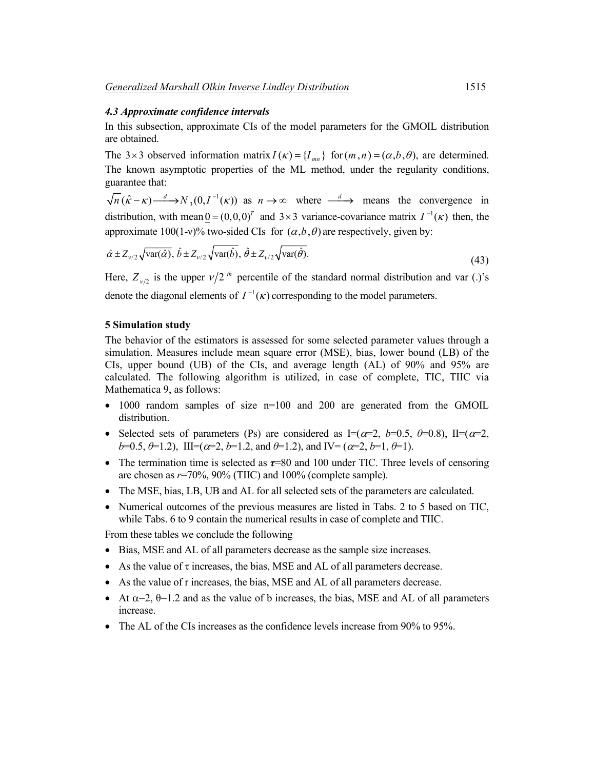#### *4.3 Approximate confidence intervals*

In this subsection, approximate CIs of the model parameters for the GMOIL distribution are obtained.

The 3 × 3 observed information matrix  $I(\kappa) = \{I_{mn}\}\$  for  $(m, n) = (\alpha, b, \theta)$ , are determined. The known asymptotic properties of the ML method, under the regularity conditions, guarantee that:

 $n(\hat{\kappa} - \kappa) \rightarrow N_3(0, I^{-1}(\kappa))$  as  $n \rightarrow \infty$  where  $\frac{d}{d\kappa}$  means the convergence in distribution, with mean  $0 = (0,0,0)^T$  and  $3 \times 3$  variance-covariance matrix  $I^{-1}(\kappa)$  then, the approximate 100(1-v)% two-sided CIs for  $(\alpha,b,\theta)$  are respectively, given by:

$$
\hat{\alpha} \pm Z_{\nu/2} \sqrt{\text{var}(\hat{\alpha})}, \, \hat{b} \pm Z_{\nu/2} \sqrt{\text{var}(\hat{b})}, \, \hat{\theta} \pm Z_{\nu/2} \sqrt{\text{var}(\hat{\theta})}. \tag{43}
$$

Here,  $Z_{\nu/2}$  is the upper  $\nu/2$ <sup>th</sup> percentile of the standard normal distribution and var (.)'s denote the diagonal elements of  $I^{-1}(\kappa)$  corresponding to the model parameters.

#### **5 Simulation study**

The behavior of the estimators is assessed for some selected parameter values through a simulation. Measures include mean square error (MSE), bias, lower bound (LB) of the CIs, upper bound (UB) of the CIs, and average length (AL) of 90% and 95% are calculated. The following algorithm is utilized, in case of complete, TIC, TIIC via Mathematica 9, as follows:

- 1000 random samples of size n=100 and 200 are generated from the GMOIL distribution.
- Selected sets of parameters (Ps) are considered as  $I=(\alpha=2, b=0.5, \theta=0.8)$ ,  $II=(\alpha=2,$ *b*=0.5,  $\theta$ =1.2), III= $(\alpha=2, b=1.2, \text{ and } \theta=1.2)$ , and IV= $(\alpha=2, b=1, \theta=1)$ .
- The termination time is selected as  $\tau$ =80 and 100 under TIC. Three levels of censoring are chosen as *r*=70%, 90% (TIIC) and 100% (complete sample).
- The MSE, bias, LB, UB and AL for all selected sets of the parameters are calculated.
- Numerical outcomes of the previous measures are listed in Tabs. 2 to 5 based on TIC, while Tabs. 6 to 9 contain the numerical results in case of complete and TIIC.

From these tables we conclude the following

- Bias, MSE and AL of all parameters decrease as the sample size increases.
- As the value of  $\tau$  increases, the bias, MSE and AL of all parameters decrease.
- As the value of r increases, the bias, MSE and AL of all parameters decrease.
- At  $\alpha=2$ ,  $\theta=1.2$  and as the value of b increases, the bias, MSE and AL of all parameters increase.
- The AL of the CIs increases as the confidence levels increase from 90% to 95%.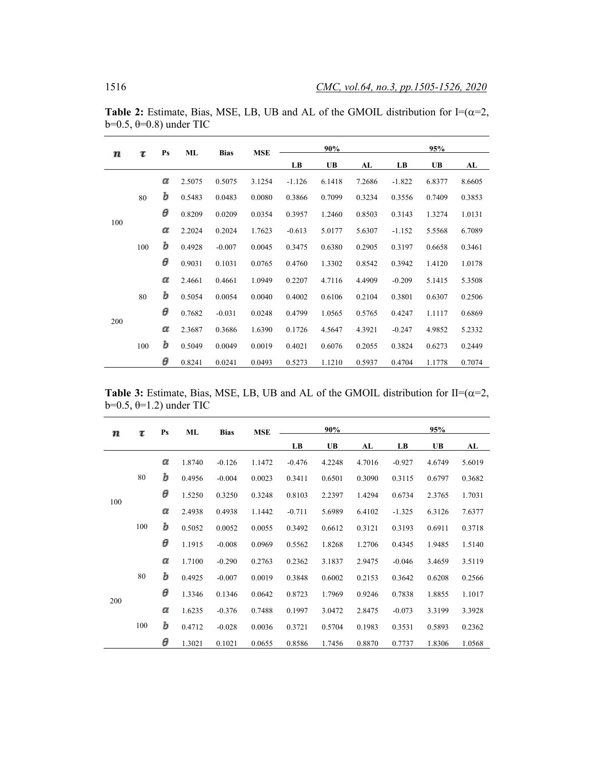| τ<br>п | $\mathbf{P}\mathbf{s}$ | ML | <b>Bias</b> | <b>MSE</b> |        | 90%      |           |        | 95%      |        |        |
|--------|------------------------|----|-------------|------------|--------|----------|-----------|--------|----------|--------|--------|
|        |                        |    |             |            |        | LB       | <b>UB</b> | AL     | LB       | UB     | AL     |
|        |                        | α  | 2.5075      | 0.5075     | 3.1254 | $-1.126$ | 6.1418    | 7.2686 | $-1.822$ | 6.8377 | 8.6605 |
|        | 80                     | Ъ  | 0.5483      | 0.0483     | 0.0080 | 0.3866   | 0.7099    | 0.3234 | 0.3556   | 0.7409 | 0.3853 |
|        |                        | θ  | 0.8209      | 0.0209     | 0.0354 | 0.3957   | 1.2460    | 0.8503 | 0.3143   | 1.3274 | 1.0131 |
| 100    |                        | α  | 2.2024      | 0.2024     | 1.7623 | $-0.613$ | 5.0177    | 5.6307 | $-1.152$ | 5.5568 | 6.7089 |
|        | 100                    | Ъ  | 0.4928      | $-0.007$   | 0.0045 | 0.3475   | 0.6380    | 0.2905 | 0.3197   | 0.6658 | 0.3461 |
|        |                        | θ  | 0.9031      | 0.1031     | 0.0765 | 0.4760   | 1.3302    | 0.8542 | 0.3942   | 1.4120 | 1.0178 |
|        |                        | α  | 2.4661      | 0.4661     | 1.0949 | 0.2207   | 4.7116    | 4.4909 | $-0.209$ | 5.1415 | 5.3508 |
|        | 80                     | Ъ  | 0.5054      | 0.0054     | 0.0040 | 0.4002   | 0.6106    | 0.2104 | 0.3801   | 0.6307 | 0.2506 |
|        |                        | θ  | 0.7682      | $-0.031$   | 0.0248 | 0.4799   | 1.0565    | 0.5765 | 0.4247   | 1.1117 | 0.6869 |
| 200    |                        | α  | 2.3687      | 0.3686     | 1.6390 | 0.1726   | 4.5647    | 4.3921 | $-0.247$ | 4.9852 | 5.2332 |
|        | 100                    | Ъ  | 0.5049      | 0.0049     | 0.0019 | 0.4021   | 0.6076    | 0.2055 | 0.3824   | 0.6273 | 0.2449 |
|        |                        | θ  | 0.8241      | 0.0241     | 0.0493 | 0.5273   | 1.1210    | 0.5937 | 0.4704   | 1.1778 | 0.7074 |

**Table 2:** Estimate, Bias, MSE, LB, UB and AL of the GMOIL distribution for I= $(\alpha=2)$ , b=0.5, θ=0.8) under TIC

**Table 3:** Estimate, Bias, MSE, LB, UB and AL of the GMOIL distribution for II= $(\alpha=2)$ , b= $0.5$ ,  $\theta$ =1.2) under TIC

| т   | τ   | $\mathbf{P}\mathbf{s}$ | ML     | <b>Bias</b> | <b>MSE</b> |          | 90%       |        |          | 95%       |        |
|-----|-----|------------------------|--------|-------------|------------|----------|-----------|--------|----------|-----------|--------|
|     |     |                        |        |             |            | LB       | <b>UB</b> | AL     | LB       | <b>UB</b> | AL     |
|     |     | α                      | 1.8740 | $-0.126$    | 1.1472     | $-0.476$ | 4.2248    | 4.7016 | $-0.927$ | 4.6749    | 5.6019 |
|     | 80  | Ъ                      | 0.4956 | $-0.004$    | 0.0023     | 0.3411   | 0.6501    | 0.3090 | 0.3115   | 0.6797    | 0.3682 |
|     |     | θ                      | 1.5250 | 0.3250      | 0.3248     | 0.8103   | 2.2397    | 1.4294 | 0.6734   | 2.3765    | 1.7031 |
| 100 |     | α                      | 2.4938 | 0.4938      | 1.1442     | $-0.711$ | 5.6989    | 6.4102 | $-1.325$ | 6.3126    | 7.6377 |
|     | 100 | Ъ                      | 0.5052 | 0.0052      | 0.0055     | 0.3492   | 0.6612    | 0.3121 | 0.3193   | 0.6911    | 0.3718 |
|     |     | θ                      | 1.1915 | $-0.008$    | 0.0969     | 0.5562   | 1.8268    | 1.2706 | 0.4345   | 1.9485    | 1.5140 |
|     |     | α                      | 1.7100 | $-0.290$    | 0.2763     | 0.2362   | 3.1837    | 2.9475 | $-0.046$ | 3.4659    | 3.5119 |
|     | 80  | Ъ                      | 0.4925 | $-0.007$    | 0.0019     | 0.3848   | 0.6002    | 0.2153 | 0.3642   | 0.6208    | 0.2566 |
|     |     | θ                      | 1.3346 | 0.1346      | 0.0642     | 0.8723   | 1.7969    | 0.9246 | 0.7838   | 1.8855    | 1.1017 |
| 200 |     | α                      | 1.6235 | $-0.376$    | 0.7488     | 0.1997   | 3.0472    | 2.8475 | $-0.073$ | 3.3199    | 3.3928 |
|     | 100 | Ъ                      | 0.4712 | $-0.028$    | 0.0036     | 0.3721   | 0.5704    | 0.1983 | 0.3531   | 0.5893    | 0.2362 |
|     |     | θ                      | 1.3021 | 0.1021      | 0.0655     | 0.8586   | 1.7456    | 0.8870 | 0.7737   | 1.8306    | 1.0568 |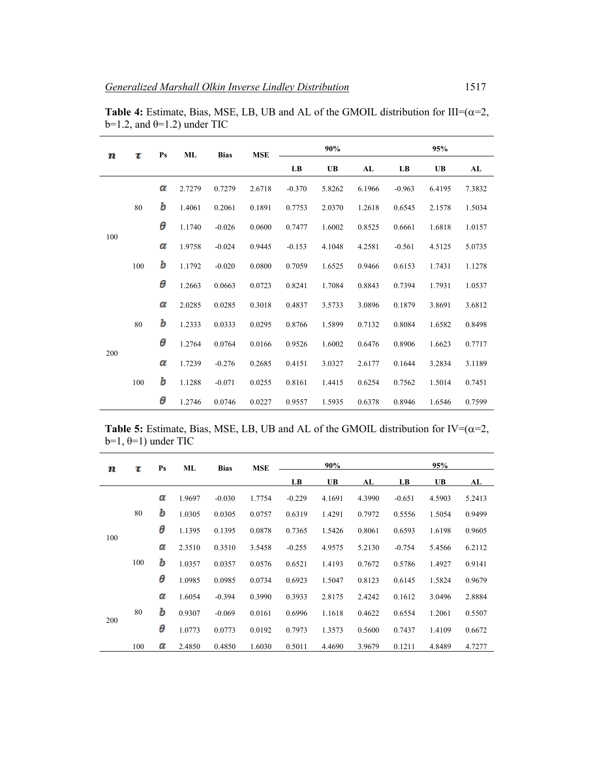| т   | τ   | P <sub>S</sub> | ML     | <b>Bias</b> | <b>MSE</b> |                        | 90%       |        |          | 95%       |        |
|-----|-----|----------------|--------|-------------|------------|------------------------|-----------|--------|----------|-----------|--------|
|     |     |                |        |             |            | $\mathbf{L}\mathbf{B}$ | <b>UB</b> | AL     | LB       | <b>UB</b> | AL     |
|     |     | α              | 2.7279 | 0.7279      | 2.6718     | $-0.370$               | 5.8262    | 6.1966 | $-0.963$ | 6.4195    | 7.3832 |
|     | 80  | Ъ              | 1.4061 | 0.2061      | 0.1891     | 0.7753                 | 2.0370    | 1.2618 | 0.6545   | 2.1578    | 1.5034 |
|     |     | θ              | 1.1740 | $-0.026$    | 0.0600     | 0.7477                 | 1.6002    | 0.8525 | 0.6661   | 1.6818    | 1.0157 |
| 100 |     | α              | 1.9758 | $-0.024$    | 0.9445     | $-0.153$               | 4.1048    | 4.2581 | $-0.561$ | 4.5125    | 5.0735 |
|     | 100 | b              | 1.1792 | $-0.020$    | 0.0800     | 0.7059                 | 1.6525    | 0.9466 | 0.6153   | 1.7431    | 1.1278 |
|     |     | θ              | 1.2663 | 0.0663      | 0.0723     | 0.8241                 | 1.7084    | 0.8843 | 0.7394   | 1.7931    | 1.0537 |
|     |     | α              | 2.0285 | 0.0285      | 0.3018     | 0.4837                 | 3.5733    | 3.0896 | 0.1879   | 3.8691    | 3.6812 |
|     | 80  | Ъ              | 1.2333 | 0.0333      | 0.0295     | 0.8766                 | 1.5899    | 0.7132 | 0.8084   | 1.6582    | 0.8498 |
|     |     | θ              | 1.2764 | 0.0764      | 0.0166     | 0.9526                 | 1.6002    | 0.6476 | 0.8906   | 1.6623    | 0.7717 |
| 200 |     | α              | 1.7239 | $-0.276$    | 0.2685     | 0.4151                 | 3.0327    | 2.6177 | 0.1644   | 3.2834    | 3.1189 |
|     | 100 | Ъ              | 1.1288 | $-0.071$    | 0.0255     | 0.8161                 | 1.4415    | 0.6254 | 0.7562   | 1.5014    | 0.7451 |
|     |     | θ              | 1.2746 | 0.0746      | 0.0227     | 0.9557                 | 1.5935    | 0.6378 | 0.8946   | 1.6546    | 0.7599 |

**Table 4:** Estimate, Bias, MSE, LB, UB and AL of the GMOIL distribution for III= $(\alpha=2)$ , b=1.2, and  $\theta$ =1.2) under TIC

| <b>Table 5:</b> Estimate, Bias, MSE, LB, UB and AL of the GMOIL distribution for $IV=(\alpha=2,$ |  |  |
|--------------------------------------------------------------------------------------------------|--|--|
| $b=1, \theta=1$ ) under TIC                                                                      |  |  |

| п   | τ   | $\mathbf{P}\mathbf{s}$ | ML     | <b>Bias</b> | <b>MSE</b> |          | 90%       |        |          | 95%       |        |
|-----|-----|------------------------|--------|-------------|------------|----------|-----------|--------|----------|-----------|--------|
|     |     |                        |        |             |            | LB       | <b>UB</b> | AL     | LB       | <b>UB</b> | AL     |
|     |     | α                      | 1.9697 | $-0.030$    | 1.7754     | $-0.229$ | 4.1691    | 4.3990 | $-0.651$ | 4.5903    | 5.2413 |
|     | 80  | Ъ                      | 1.0305 | 0.0305      | 0.0757     | 0.6319   | 1.4291    | 0.7972 | 0.5556   | 1.5054    | 0.9499 |
|     |     | θ                      | 1.1395 | 0.1395      | 0.0878     | 0.7365   | 1.5426    | 0.8061 | 0.6593   | 1.6198    | 0.9605 |
| 100 |     | α                      | 2.3510 | 0.3510      | 3.5458     | $-0.255$ | 4.9575    | 5.2130 | $-0.754$ | 5.4566    | 6.2112 |
|     | 100 | Ъ                      | 1.0357 | 0.0357      | 0.0576     | 0.6521   | 1.4193    | 0.7672 | 0.5786   | 1.4927    | 0.9141 |
|     |     | θ                      | 1.0985 | 0.0985      | 0.0734     | 0.6923   | 1.5047    | 0.8123 | 0.6145   | 1.5824    | 0.9679 |
|     |     | α                      | 1.6054 | $-0.394$    | 0.3990     | 0.3933   | 2.8175    | 2.4242 | 0.1612   | 3.0496    | 2.8884 |
|     | 80  | Ъ                      | 0.9307 | $-0.069$    | 0.0161     | 0.6996   | 1.1618    | 0.4622 | 0.6554   | 1.2061    | 0.5507 |
| 200 |     | θ                      | 1.0773 | 0.0773      | 0.0192     | 0.7973   | 1.3573    | 0.5600 | 0.7437   | 1.4109    | 0.6672 |
|     | 100 | α                      | 2.4850 | 0.4850      | 1.6030     | 0.5011   | 4.4690    | 3.9679 | 0.1211   | 4.8489    | 4.7277 |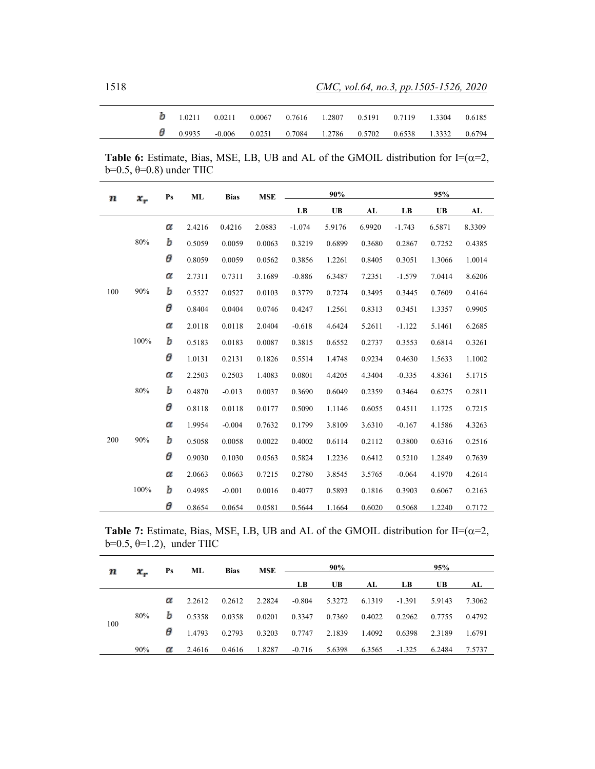| <b>b</b> 1.0211 0.0211 0.0067 0.7616 1.2807 0.5191 0.7119 1.3304 0.6185 |  |  |                                                                |  |
|-------------------------------------------------------------------------|--|--|----------------------------------------------------------------|--|
| $\theta$ 0.9935 -0.006                                                  |  |  | $0.0251$ $0.7084$ $1.2786$ $0.5702$ $0.6538$ $1.3332$ $0.6794$ |  |

**Table 6:** Estimate, Bias, MSE, LB, UB and AL of the GMOIL distribution for I= $(\alpha=2)$ , b= $0.5$ ,  $\theta$ = $0.8$ ) under TIIC

| Ш   | х,   | P <sub>S</sub> | <b>ML</b> | <b>Bias</b> | <b>MSE</b> |          | 90%    |        |          | 95%    |        |
|-----|------|----------------|-----------|-------------|------------|----------|--------|--------|----------|--------|--------|
|     |      |                |           |             |            | LB       | UB     | AL     | LB       | UB     | AL     |
|     |      | α              | 2.4216    | 0.4216      | 2.0883     | $-1.074$ | 5.9176 | 6.9920 | $-1.743$ | 6.5871 | 8.3309 |
|     | 80%  | Ъ              | 0.5059    | 0.0059      | 0.0063     | 0.3219   | 0.6899 | 0.3680 | 0.2867   | 0.7252 | 0.4385 |
|     |      | θ              | 0.8059    | 0.0059      | 0.0562     | 0.3856   | 1.2261 | 0.8405 | 0.3051   | 1.3066 | 1.0014 |
|     |      | α              | 2.7311    | 0.7311      | 3.1689     | $-0.886$ | 6.3487 | 7.2351 | $-1.579$ | 7.0414 | 8.6206 |
| 100 | 90%  | Ъ              | 0.5527    | 0.0527      | 0.0103     | 0.3779   | 0.7274 | 0.3495 | 0.3445   | 0.7609 | 0.4164 |
|     |      | θ              | 0.8404    | 0.0404      | 0.0746     | 0.4247   | 1.2561 | 0.8313 | 0.3451   | 1.3357 | 0.9905 |
|     |      | α              | 2.0118    | 0.0118      | 2.0404     | $-0.618$ | 4.6424 | 5.2611 | $-1.122$ | 5.1461 | 6.2685 |
|     | 100% | Ъ              | 0.5183    | 0.0183      | 0.0087     | 0.3815   | 0.6552 | 0.2737 | 0.3553   | 0.6814 | 0.3261 |
|     |      | θ              | 1.0131    | 0.2131      | 0.1826     | 0.5514   | 1.4748 | 0.9234 | 0.4630   | 1.5633 | 1.1002 |
|     |      | α              | 2.2503    | 0.2503      | 1.4083     | 0.0801   | 4.4205 | 4.3404 | $-0.335$ | 4.8361 | 5.1715 |
|     | 80%  | Ъ              | 0.4870    | $-0.013$    | 0.0037     | 0.3690   | 0.6049 | 0.2359 | 0.3464   | 0.6275 | 0.2811 |
|     |      | θ              | 0.8118    | 0.0118      | 0.0177     | 0.5090   | 1.1146 | 0.6055 | 0.4511   | 1.1725 | 0.7215 |
|     |      | α              | 1.9954    | $-0.004$    | 0.7632     | 0.1799   | 3.8109 | 3.6310 | $-0.167$ | 4.1586 | 4.3263 |
| 200 | 90%  | Ъ              | 0.5058    | 0.0058      | 0.0022     | 0.4002   | 0.6114 | 0.2112 | 0.3800   | 0.6316 | 0.2516 |
|     |      | θ              | 0.9030    | 0.1030      | 0.0563     | 0.5824   | 1.2236 | 0.6412 | 0.5210   | 1.2849 | 0.7639 |
|     |      | α              | 2.0663    | 0.0663      | 0.7215     | 0.2780   | 3.8545 | 3.5765 | $-0.064$ | 4.1970 | 4.2614 |
|     | 100% | Ъ              | 0.4985    | $-0.001$    | 0.0016     | 0.4077   | 0.5893 | 0.1816 | 0.3903   | 0.6067 | 0.2163 |
|     |      | θ              | 0.8654    | 0.0654      | 0.0581     | 0.5644   | 1.1664 | 0.6020 | 0.5068   | 1.2240 | 0.7172 |

**Table 7:** Estimate, Bias, MSE, LB, UB and AL of the GMOIL distribution for II= $(\alpha=2, \beta=1)$ b= $0.5, \theta=1.2$ ), under TIIC

| х.<br>т |     | Ps | ML     | <b>Bias</b> | <b>MSE</b> |          | 90%       |        |          | 95%       |        |
|---------|-----|----|--------|-------------|------------|----------|-----------|--------|----------|-----------|--------|
|         |     |    |        |             |            | LB       | <b>UB</b> | AL     | - LB     | <b>UB</b> | AL     |
|         |     | α  | 2.2612 | 0.2612      | 2.2824     | $-0.804$ | 5.3272    | 6.1319 | -1.391   | 5.9143    | 7.3062 |
|         | 80% | b  | 0.5358 | 0.0358      | 0.0201     | 0.3347   | 0.7369    | 0.4022 | 0.2962   | 0.7755    | 0.4792 |
| 100     |     | θ  | 1.4793 | 0.2793      | 0.3203     | 0.7747   | 2.1839    | 1.4092 | 0.6398   | 2.3189    | 1.6791 |
|         | 90% | α  | 2.4616 | 0.4616      | 1.8287     | $-0.716$ | 5.6398    | 6.3565 | $-1.325$ | 6.2484    | 7.5737 |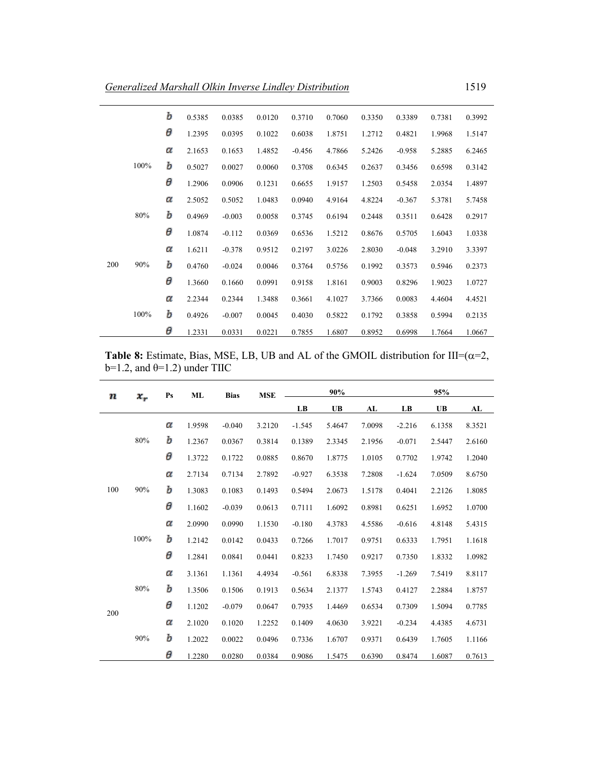|     |      | Ъ | 0.5385 | 0.0385   | 0.0120 | 0.3710   | 0.7060 | 0.3350 | 0.3389   | 0.7381 | 0.3992 |
|-----|------|---|--------|----------|--------|----------|--------|--------|----------|--------|--------|
|     |      | θ | 1.2395 | 0.0395   | 0.1022 | 0.6038   | 1.8751 | 1.2712 | 0.4821   | 1.9968 | 1.5147 |
|     |      | α | 2.1653 | 0.1653   | 1.4852 | $-0.456$ | 4.7866 | 5.2426 | $-0.958$ | 5.2885 | 6.2465 |
|     | 100% | b | 0.5027 | 0.0027   | 0.0060 | 0.3708   | 0.6345 | 0.2637 | 0.3456   | 0.6598 | 0.3142 |
|     |      | θ | 1.2906 | 0.0906   | 0.1231 | 0.6655   | 1.9157 | 1.2503 | 0.5458   | 2.0354 | 1.4897 |
|     |      | α | 2.5052 | 0.5052   | 1.0483 | 0.0940   | 4.9164 | 4.8224 | $-0.367$ | 5.3781 | 5.7458 |
|     | 80%  | Ъ | 0.4969 | $-0.003$ | 0.0058 | 0.3745   | 0.6194 | 0.2448 | 0.3511   | 0.6428 | 0.2917 |
|     |      | θ | 1.0874 | $-0.112$ | 0.0369 | 0.6536   | 1.5212 | 0.8676 | 0.5705   | 1.6043 | 1.0338 |
|     |      | α | 1.6211 | $-0.378$ | 0.9512 | 0.2197   | 3.0226 | 2.8030 | $-0.048$ | 3.2910 | 3.3397 |
| 200 | 90%  | Ъ | 0.4760 | $-0.024$ | 0.0046 | 0.3764   | 0.5756 | 0.1992 | 0.3573   | 0.5946 | 0.2373 |
|     |      | θ | 1.3660 | 0.1660   | 0.0991 | 0.9158   | 1.8161 | 0.9003 | 0.8296   | 1.9023 | 1.0727 |
|     |      | α | 2.2344 | 0.2344   | 1.3488 | 0.3661   | 4.1027 | 3.7366 | 0.0083   | 4.4604 | 4.4521 |
|     | 100% | Ъ | 0.4926 | $-0.007$ | 0.0045 | 0.4030   | 0.5822 | 0.1792 | 0.3858   | 0.5994 | 0.2135 |
|     |      | θ | 1.2331 | 0.0331   | 0.0221 | 0.7855   | 1.6807 | 0.8952 | 0.6998   | 1.7664 | 1.0667 |

**Table 8:** Estimate, Bias, MSE, LB, UB and AL of the GMOIL distribution for III= $(\alpha=2)$ , b=1.2, and  $\theta$ =1.2) under TIIC

| т   | $x_r$ | Ps | ML     | <b>Bias</b> | <b>MSE</b> |          | 90%    |        |          | 95%       |        |
|-----|-------|----|--------|-------------|------------|----------|--------|--------|----------|-----------|--------|
|     |       |    |        |             |            | LB       | UB     | AL     | LB       | <b>UB</b> | AL     |
|     |       | α  | 1.9598 | $-0.040$    | 3.2120     | $-1.545$ | 5.4647 | 7.0098 | $-2.216$ | 6.1358    | 8.3521 |
|     | 80%   | b  | 1.2367 | 0.0367      | 0.3814     | 0.1389   | 2.3345 | 2.1956 | $-0.071$ | 2.5447    | 2.6160 |
|     |       | θ  | 1.3722 | 0.1722      | 0.0885     | 0.8670   | 1.8775 | 1.0105 | 0.7702   | 1.9742    | 1.2040 |
|     |       | α  | 2.7134 | 0.7134      | 2.7892     | $-0.927$ | 6.3538 | 7.2808 | $-1.624$ | 7.0509    | 8.6750 |
| 100 | 90%   | b  | 1.3083 | 0.1083      | 0.1493     | 0.5494   | 2.0673 | 1.5178 | 0.4041   | 2.2126    | 1.8085 |
|     |       | θ  | 1.1602 | $-0.039$    | 0.0613     | 0.7111   | 1.6092 | 0.8981 | 0.6251   | 1.6952    | 1.0700 |
|     |       | α  | 2.0990 | 0.0990      | 1.1530     | $-0.180$ | 4.3783 | 4.5586 | $-0.616$ | 4.8148    | 5.4315 |
|     | 100%  | Ъ  | 1.2142 | 0.0142      | 0.0433     | 0.7266   | 1.7017 | 0.9751 | 0.6333   | 1.7951    | 1.1618 |
|     |       | θ  | 1.2841 | 0.0841      | 0.0441     | 0.8233   | 1.7450 | 0.9217 | 0.7350   | 1.8332    | 1.0982 |
|     |       | α  | 3.1361 | 1.1361      | 4.4934     | $-0.561$ | 6.8338 | 7.3955 | $-1.269$ | 7.5419    | 8.8117 |
|     | 80%   | b  | 1.3506 | 0.1506      | 0.1913     | 0.5634   | 2.1377 | 1.5743 | 0.4127   | 2.2884    | 1.8757 |
| 200 |       | θ  | 1.1202 | $-0.079$    | 0.0647     | 0.7935   | 1.4469 | 0.6534 | 0.7309   | 1.5094    | 0.7785 |
|     |       | α  | 2.1020 | 0.1020      | 1.2252     | 0.1409   | 4.0630 | 3.9221 | $-0.234$ | 4.4385    | 4.6731 |
|     | 90%   | b  | 1.2022 | 0.0022      | 0.0496     | 0.7336   | 1.6707 | 0.9371 | 0.6439   | 1.7605    | 1.1166 |
|     |       | θ  | 1.2280 | 0.0280      | 0.0384     | 0.9086   | 1.5475 | 0.6390 | 0.8474   | 1.6087    | 0.7613 |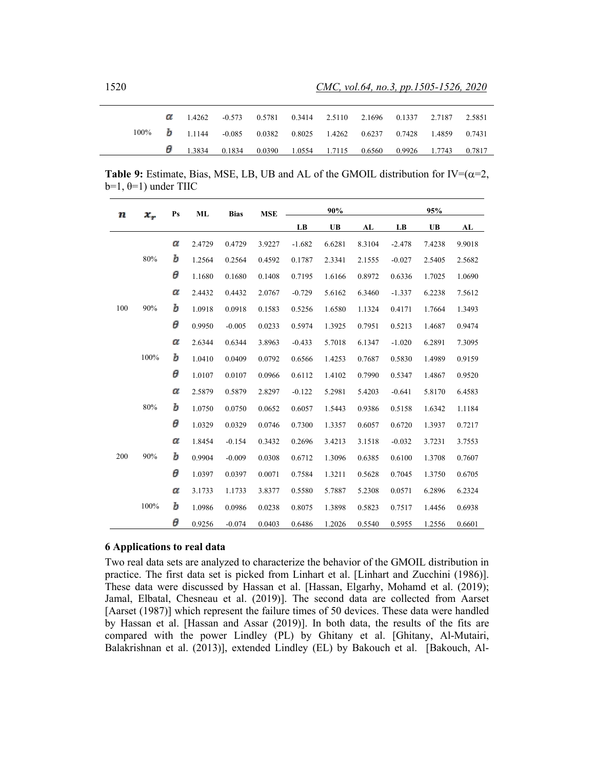|  | 0.3414 2.5110 2.1696 0.1337 2.7187 2.5851                               |  |  |  |  |
|--|-------------------------------------------------------------------------|--|--|--|--|
|  | 100% 1 1,1144 -0.085 0.0382 0.8025 1.4262 0.6237 0.7428 1.4859 0.7431   |  |  |  |  |
|  | $\theta$ 1.3834 0.1834 0.0390 1.0554 1.7115 0.6560 0.9926 1.7743 0.7817 |  |  |  |  |

**Table 9:** Estimate, Bias, MSE, LB, UB and AL of the GMOIL distribution for  $IV=(\alpha=2)$ ,  $b=1, \theta=1$ ) under TIIC

| п   | $x_r$ | P <sub>S</sub> | ML     | <b>Bias</b> | <b>MSE</b> | 90%      |           |             | 95%      |           |        |
|-----|-------|----------------|--------|-------------|------------|----------|-----------|-------------|----------|-----------|--------|
|     |       |                |        |             |            | LB       | <b>UB</b> | ${\bf A}$ L | LB       | <b>UB</b> | AL     |
| 100 |       | α              | 2.4729 | 0.4729      | 3.9227     | $-1.682$ | 6.6281    | 8.3104      | $-2.478$ | 7.4238    | 9.9018 |
|     | 80%   | b              | 1.2564 | 0.2564      | 0.4592     | 0.1787   | 2.3341    | 2.1555      | $-0.027$ | 2.5405    | 2.5682 |
|     |       | θ              | 1.1680 | 0.1680      | 0.1408     | 0.7195   | 1.6166    | 0.8972      | 0.6336   | 1.7025    | 1.0690 |
|     |       | α              | 2.4432 | 0.4432      | 2.0767     | $-0.729$ | 5.6162    | 6.3460      | $-1.337$ | 6.2238    | 7.5612 |
|     | 90%   | b              | 1.0918 | 0.0918      | 0.1583     | 0.5256   | 1.6580    | 1.1324      | 0.4171   | 1.7664    | 1.3493 |
|     |       | θ              | 0.9950 | $-0.005$    | 0.0233     | 0.5974   | 1.3925    | 0.7951      | 0.5213   | 1.4687    | 0.9474 |
|     |       | α              | 2.6344 | 0.6344      | 3.8963     | $-0.433$ | 5.7018    | 6.1347      | $-1.020$ | 6.2891    | 7.3095 |
|     | 100%  | b              | 1.0410 | 0.0409      | 0.0792     | 0.6566   | 1.4253    | 0.7687      | 0.5830   | 1.4989    | 0.9159 |
|     |       | θ              | 1.0107 | 0.0107      | 0.0966     | 0.6112   | 1.4102    | 0.7990      | 0.5347   | 1.4867    | 0.9520 |
|     | 80%   | α              | 2.5879 | 0.5879      | 2.8297     | $-0.122$ | 5.2981    | 5.4203      | $-0.641$ | 5.8170    | 6.4583 |
|     |       | Ъ              | 1.0750 | 0.0750      | 0.0652     | 0.6057   | 1.5443    | 0.9386      | 0.5158   | 1.6342    | 1.1184 |
|     |       | θ              | 1.0329 | 0.0329      | 0.0746     | 0.7300   | 1.3357    | 0.6057      | 0.6720   | 1.3937    | 0.7217 |
|     |       | α              | 1.8454 | $-0.154$    | 0.3432     | 0.2696   | 3.4213    | 3.1518      | $-0.032$ | 3.7231    | 3.7553 |
| 200 | 90%   | Ъ              | 0.9904 | $-0.009$    | 0.0308     | 0.6712   | 1.3096    | 0.6385      | 0.6100   | 1.3708    | 0.7607 |
|     |       | θ              | 1.0397 | 0.0397      | 0.0071     | 0.7584   | 1.3211    | 0.5628      | 0.7045   | 1.3750    | 0.6705 |
|     |       | α              | 3.1733 | 1.1733      | 3.8377     | 0.5580   | 5.7887    | 5.2308      | 0.0571   | 6.2896    | 6.2324 |
|     | 100%  | Ъ              | 1.0986 | 0.0986      | 0.0238     | 0.8075   | 1.3898    | 0.5823      | 0.7517   | 1.4456    | 0.6938 |
|     |       | θ              | 0.9256 | $-0.074$    | 0.0403     | 0.6486   | 1.2026    | 0.5540      | 0.5955   | 1.2556    | 0.6601 |

# **6 Applications to real data**

Two real data sets are analyzed to characterize the behavior of the GMOIL distribution in practice. The first data set is picked from Linhart et al. [Linhart and Zucchini (1986)]. These data were discussed by Hassan et al. [Hassan, Elgarhy, Mohamd et al. (2019); Jamal, Elbatal, Chesneau et al. (2019)]. The second data are collected from Aarset [Aarset (1987)] which represent the failure times of 50 devices. These data were handled by Hassan et al. [Hassan and Assar (2019)]. In both data, the results of the fits are compared with the power Lindley (PL) by Ghitany et al. [Ghitany, Al-Mutairi, Balakrishnan et al. (2013)], extended Lindley (EL) by Bakouch et al. [Bakouch, Al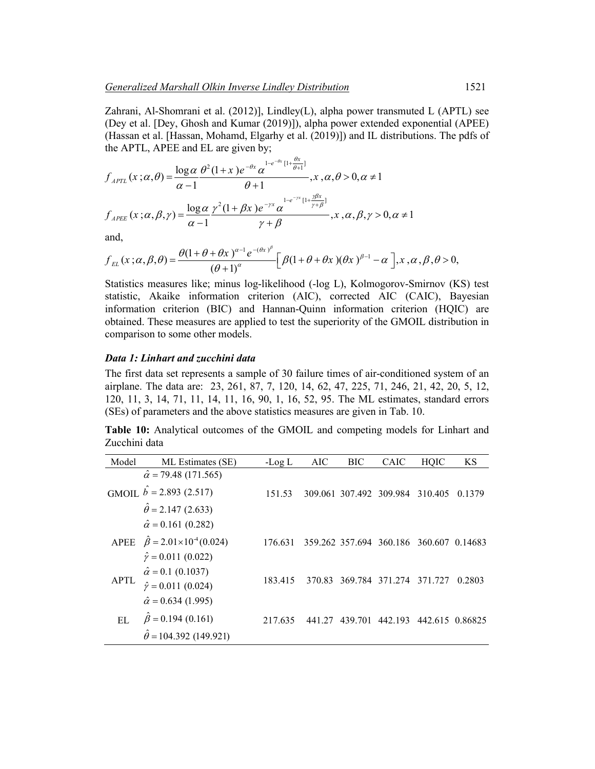Zahrani, Al-Shomrani et al. (2012)], Lindley(L), alpha power transmuted L (APTL) see (Dey et al. [Dey, Ghosh and Kumar (2019)]), alpha power extended exponential (APEE) (Hassan et al. [Hassan, Mohamd, Elgarhy et al. (2019)]) and IL distributions. The pdfs of the APTL, APEE and EL are given by;

 $\theta$ 

$$
f_{APTL}(x; \alpha, \theta) = \frac{\log \alpha}{\alpha - 1} \frac{\theta^2 (1 + x) e^{-\theta x} \alpha^{1 - e^{-\theta x} [1 + \frac{\theta x}{\theta + 1}]} }{\theta + 1}, x, \alpha, \theta > 0, \alpha \neq 1
$$
  

$$
f_{APEE}(x; \alpha, \beta, \gamma) = \frac{\log \alpha}{\alpha - 1} \frac{\gamma^2 (1 + \beta x) e^{-\gamma x} \alpha^{1 - e^{-\gamma x} [1 + \frac{\gamma \beta x}{\gamma + \beta}]} }{\gamma + \beta}, x, \alpha, \beta, \gamma > 0, \alpha \neq 1
$$

and,

$$
f_{EL}(x;\alpha,\beta,\theta) = \frac{\theta(1+\theta+\theta x)^{\alpha-1}e^{-(\theta x)^{\beta}}}{(\theta+1)^{\alpha}}\bigg[\beta(1+\theta+\theta x)(\theta x)^{\beta-1}-\alpha\bigg], x, \alpha, \beta, \theta>0,
$$

Statistics measures like; minus log-likelihood (-log L), Kolmogorov-Smirnov (KS) test statistic, Akaike information criterion (AIC), corrected AIC (CAIC), Bayesian information criterion (BIC) and Hannan-Quinn information criterion (HQIC) are obtained. These measures are applied to test the superiority of the GMOIL distribution in comparison to some other models.

#### *Data 1: Linhart and zucchini data*

The first data set represents a sample of 30 failure times of air-conditioned system of an airplane. The data are: 23, 261, 87, 7, 120, 14, 62, 47, 225, 71, 246, 21, 42, 20, 5, 12, 120, 11, 3, 14, 71, 11, 14, 11, 16, 90, 1, 16, 52, 95. The ML estimates, standard errors (SEs) of parameters and the above statistics measures are given in Tab. 10.

**Table 10:** Analytical outcomes of the GMOIL and competing models for Linhart and Zucchini data

| Model       | ML Estimates (SE)                                | -Log L  | AIC    | BIC                     | <b>CAIC</b>                     | HOIC                              | <b>KS</b> |
|-------------|--------------------------------------------------|---------|--------|-------------------------|---------------------------------|-----------------------------------|-----------|
|             | $\hat{\alpha}$ = 79.48 (171.565)                 |         |        |                         |                                 |                                   |           |
|             | GMOIL $b = 2.893$ (2.517)                        | 151.53  |        | 309.061 307.492 309.984 |                                 | 310.405                           | 0.1379    |
|             | $\hat{\theta} = 2.147(2.633)$                    |         |        |                         |                                 |                                   |           |
|             | $\hat{\alpha} = 0.161$ (0.282)                   |         |        |                         |                                 |                                   |           |
|             | APEE $\hat{\beta} = 2.01 \times 10^{-4} (0.024)$ | 176.631 |        |                         | 359.262 357.694 360.186 360.607 |                                   | 0.14683   |
|             | $\hat{\gamma} = 0.011(0.022)$                    |         |        |                         |                                 |                                   |           |
|             | $\hat{\alpha} = 0.1$ (0.1037)                    |         |        |                         |                                 |                                   |           |
| <b>APTL</b> | $\hat{\gamma} = 0.011(0.024)$                    | 183 415 |        |                         |                                 | 370.83 369.784 371.274<br>371 727 | 0.2803    |
|             | $\hat{\alpha} = 0.634$ (1.995)                   |         |        |                         |                                 |                                   |           |
| EL.         | $\beta$ = 0.194 (0.161)                          | 217635  | 441 27 | 439.701                 | 442.193                         | 442.615 0.86825                   |           |
|             | $\theta$ = 104.392 (149.921)                     |         |        |                         |                                 |                                   |           |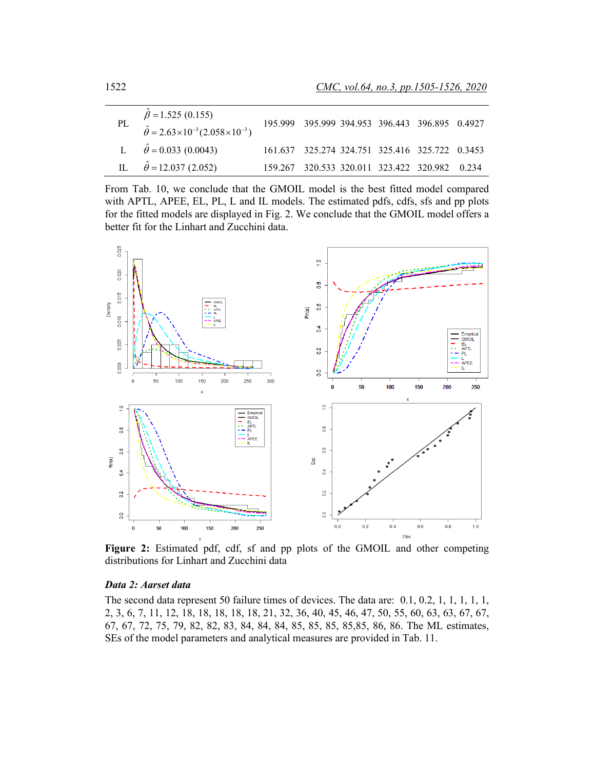| PL | $\hat{\beta} = 1.525 (0.155)$<br>$\hat{\theta} = 2.63 \times 10^{-3} (2.058 \times 10^{-3})$ | 195.999 395.999 394.953 396.443 396.895 0.4927 |  |  |
|----|----------------------------------------------------------------------------------------------|------------------------------------------------|--|--|
|    | L $\hat{\theta} = 0.033$ (0.0043)                                                            | 161.637 325.274 324.751 325.416 325.722 0.3453 |  |  |
|    | IL $\hat{\theta} = 12.037 (2.052)$                                                           | 159.267 320.533 320.011 323.422 320.982 0.234  |  |  |

From Tab. 10, we conclude that the GMOIL model is the best fitted model compared with APTL, APEE, EL, PL, L and IL models. The estimated pdfs, cdfs, sfs and pp plots for the fitted models are displayed in Fig. 2. We conclude that the GMOIL model offers a better fit for the Linhart and Zucchini data.



Figure 2: Estimated pdf, cdf, sf and pp plots of the GMOIL and other competing distributions for Linhart and Zucchini data

#### *Data 2: Aarset data*

The second data represent 50 failure times of devices. The data are: 0.1, 0.2, 1, 1, 1, 1, 1, 2, 3, 6, 7, 11, 12, 18, 18, 18, 18, 18, 21, 32, 36, 40, 45, 46, 47, 50, 55, 60, 63, 63, 67, 67, 67, 67, 72, 75, 79, 82, 82, 83, 84, 84, 84, 85, 85, 85, 85,85, 86, 86. The ML estimates, SEs of the model parameters and analytical measures are provided in Tab. 11.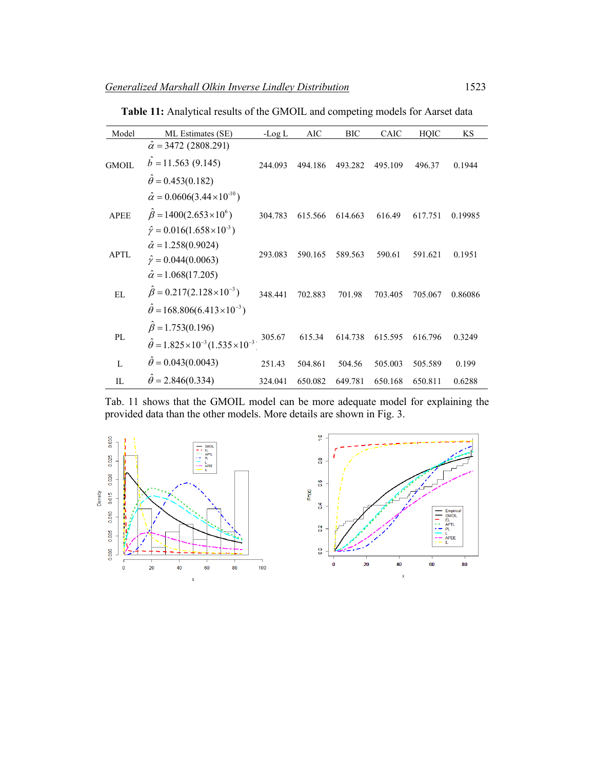| Model        | ML Estimates (SE)                                                                                                                        | -Log $L$ | AIC     | <b>BIC</b> | CAIC    | HQIC    | KS      |
|--------------|------------------------------------------------------------------------------------------------------------------------------------------|----------|---------|------------|---------|---------|---------|
| <b>GMOIL</b> | $\hat{\alpha}$ = 3472 (2808.291)<br>$b = 11.563(9.145)$<br>$\hat{\theta} = 0.453(0.182)$                                                 | 244.093  | 494.186 | 493.282    | 495.109 | 496.37  | 0.1944  |
| <b>APEE</b>  | $\hat{\alpha} = 0.0606(3.44 \times 10^{-10})$<br>$\hat{\beta} = 1400(2.653 \times 10^6)$<br>$\hat{\gamma} = 0.016(1.658 \times 10^{-3})$ | 304.783  | 615.566 | 614.663    | 616.49  | 617.751 | 0.19985 |
| <b>APTL</b>  | $\hat{\alpha} = 1.258(0.9024)$<br>$\hat{\gamma} = 0.044(0.0063)$<br>$\hat{\alpha} = 1.068(17.205)$                                       | 293.083  | 590.165 | 589.563    | 590.61  | 591.621 | 0.1951  |
| EL           | $\beta = 0.217(2.128 \times 10^{-3})$<br>$\hat{\theta} = 168.806(6.413 \times 10^{-3})$                                                  | 348.441  | 702.883 | 701.98     | 703.405 | 705.067 | 0.86086 |
| PL           | $\hat{\beta} = 1.753(0.196)$<br>$\hat{\theta} = 1.825 \times 10^{-3} (1.535 \times 10^{-3})$                                             | 305.67   | 615.34  | 614.738    | 615.595 | 616.796 | 0.3249  |
| $\mathbf{L}$ | $\ddot{\theta} = 0.043(0.0043)$                                                                                                          | 251.43   | 504.861 | 504.56     | 505.003 | 505.589 | 0.199   |
| IL           | $\theta = 2.846(0.334)$                                                                                                                  | 324.041  | 650.082 | 649.781    | 650.168 | 650.811 | 0.6288  |

**Table 11:** Analytical results of the GMOIL and competing models for Aarset data

Tab. 11 shows that the GMOIL model can be more adequate model for explaining the provided data than the other models. More details are shown in Fig. 3.



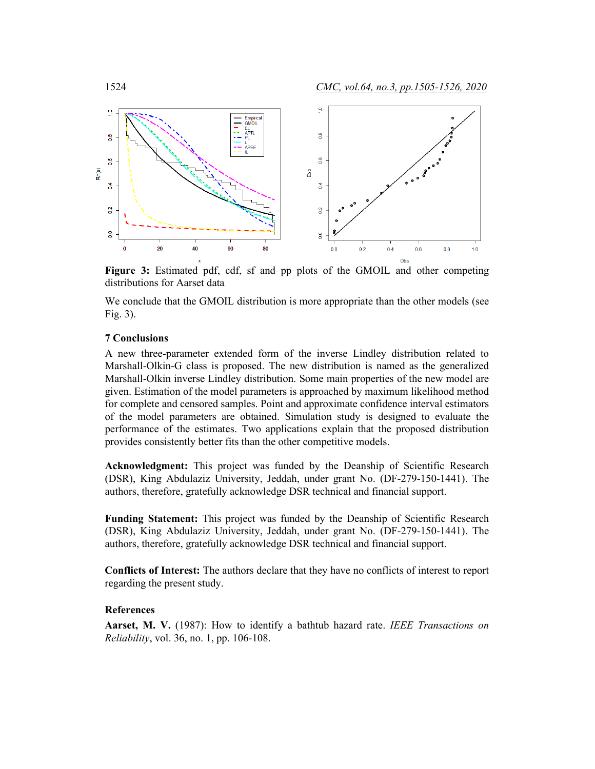

**Figure 3:** Estimated pdf, cdf, sf and pp plots of the GMOIL and other competing distributions for Aarset data

We conclude that the GMOIL distribution is more appropriate than the other models (see Fig. 3).

# **7 Conclusions**

A new three-parameter extended form of the inverse Lindley distribution related to Marshall-Olkin-G class is proposed. The new distribution is named as the generalized Marshall-Olkin inverse Lindley distribution. Some main properties of the new model are given. Estimation of the model parameters is approached by maximum likelihood method for complete and censored samples. Point and approximate confidence interval estimators of the model parameters are obtained. Simulation study is designed to evaluate the performance of the estimates. Two applications explain that the proposed distribution provides consistently better fits than the other competitive models.

**Acknowledgment:** This project was funded by the Deanship of Scientific Research (DSR), King Abdulaziz University, Jeddah, under grant No. (DF-279-150-1441). The authors, therefore, gratefully acknowledge DSR technical and financial support.

**Funding Statement:** This project was funded by the Deanship of Scientific Research (DSR), King Abdulaziz University, Jeddah, under grant No. (DF-279-150-1441). The authors, therefore, gratefully acknowledge DSR technical and financial support.

**Conflicts of Interest:** The authors declare that they have no conflicts of interest to report regarding the present study.

#### **References**

**Aarset, M. V.** (1987): How to identify a bathtub hazard rate. *IEEE Transactions on Reliability*, vol. 36, no. 1, pp. 106-108.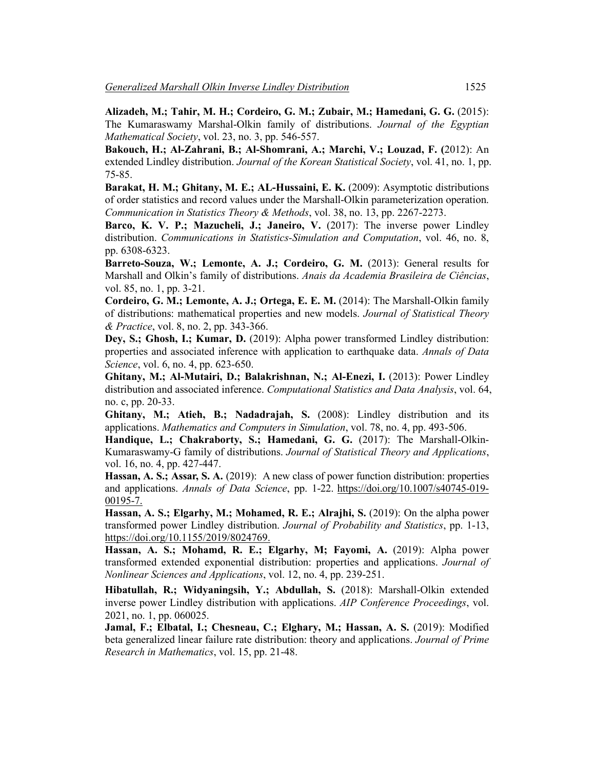**Alizadeh, M.; Tahir, M. H.; Cordeiro, G. M.; Zubair, M.; Hamedani, G. G.** (2015): The Kumaraswamy Marshal-Olkin family of distributions. *Journal of the Egyptian Mathematical Society*, vol. 23, no. 3, pp. 546-557.

**Bakouch, H.; Al-Zahrani, B.; Al-Shomrani, A.; Marchi, V.; Louzad, F. (**2012): An extended Lindley distribution. *Journal of the Korean Statistical Society*, vol. 41, no. 1, pp. 75-85.

**Barakat, H. M.; Ghitany, M. E.; AL-Hussaini, E. K.** (2009): Asymptotic distributions of order statistics and record values under the Marshall-Olkin parameterization operation. *Communication in Statistics Theory & Methods*, vol. 38, no. 13, pp. 2267-2273.

**Barco, K. V. P.; Mazucheli, J.; Janeiro, V.** (2017): The inverse power Lindley distribution. *Communications in Statistics-Simulation and Computation*, vol. 46, no. 8, pp. 6308-6323.

**Barreto-Souza, W.; Lemonte, A. J.; Cordeiro, G. M.** (2013): General results for Marshall and Olkin's family of distributions. *Anais da Academia Brasileira de Ciências*, vol. 85, no. 1, pp. 3-21.

**Cordeiro, G. M.; Lemonte, A. J.; Ortega, E. E. M.** (2014): The Marshall-Olkin family of distributions: mathematical properties and new models. *Journal of Statistical Theory & Practice*, vol. 8, no. 2, pp. 343-366.

**Dey, S.; Ghosh, I.; Kumar, D.** (2019): Alpha power transformed Lindley distribution: properties and associated inference with application to earthquake data. *Annals of Data Science*, vol. 6, no. 4, pp. 623-650.

**Ghitany, M.; Al-Mutairi, D.; Balakrishnan, N.; Al-Enezi, I.** (2013): Power Lindley distribution and associated inference. *Computational Statistics and Data Analysis*, vol. 64, no. c, pp. 20-33.

**Ghitany, M.; Atieh, B.; Nadadrajah, S.** (2008): Lindley distribution and its applications. *Mathematics and Computers in Simulation*, vol. 78, no. 4, pp. 493-506.

**Handique, L.; Chakraborty, S.; Hamedani, G. G.** (2017): The Marshall-Olkin-Kumaraswamy-G family of distributions. *Journal of Statistical Theory and Applications*, vol. 16, no. 4, pp. 427-447.

**Hassan, A. S.; Assar, S. A.** (2019):A new class of power function distribution: properties and applications. *Annals of Data Science*, pp. 1-22. https://doi.org/10.1007/s40745-019- 00195-7.

**Hassan, A. S.; Elgarhy, M.; Mohamed, R. E.; Alrajhi, S.** (2019): On the alpha power transformed power Lindley distribution. *Journal of Probability and Statistics*, pp. 1-13, https://doi.org/10.1155/2019/8024769.

**Hassan, A. S.; Mohamd, R. E.; Elgarhy, M; Fayomi, A.** (2019): Alpha power transformed extended exponential distribution: properties and applications. *Journal of Nonlinear Sciences and Applications*, vol. 12, no. 4, pp. 239-251.

**Hibatullah, R.; Widyaningsih, Y.; Abdullah, S.** (2018): Marshall-Olkin extended inverse power Lindley distribution with applications. *AIP Conference Proceedings*, vol. 2021, no. 1, pp. 060025.

**Jamal, F.; Elbatal, I.; Chesneau, C.; Elghary, M.; Hassan, A. S.** (2019): Modified beta generalized linear failure rate distribution: theory and applications. *Journal of Prime Research in Mathematics*, vol. 15, pp. 21-48.